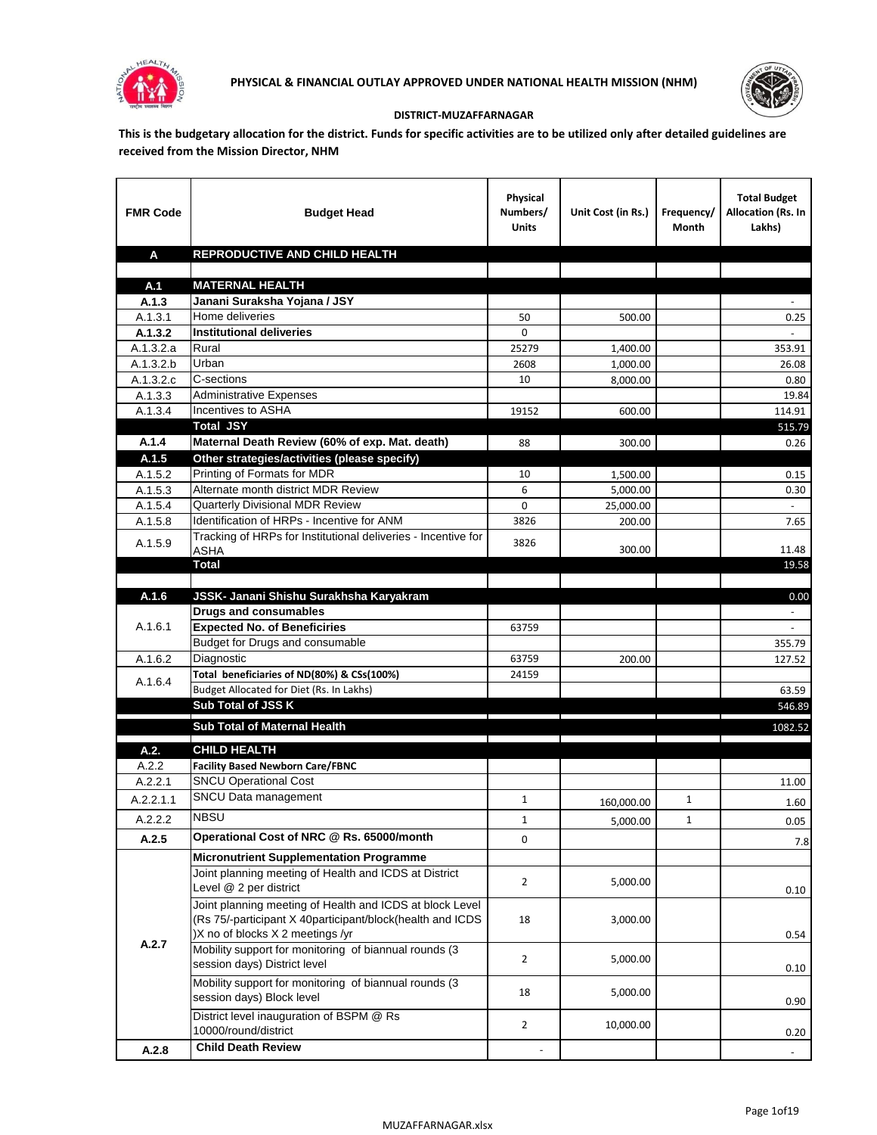



## **DISTRICT-MUZAFFARNAGAR**

**This is the budgetary allocation for the district. Funds for specific activities are to be utilized only after detailed guidelines are received from the Mission Director, NHM**

| <b>FMR Code</b>        | <b>Budget Head</b>                                                  | Physical<br>Numbers/<br><b>Units</b>                                            | Unit Cost (in Rs.) | Frequency/<br>Month                                                                                                                                                                                                                  | <b>Total Budget</b><br>Allocation (Rs. In<br>Lakhs) |
|------------------------|---------------------------------------------------------------------|---------------------------------------------------------------------------------|--------------------|--------------------------------------------------------------------------------------------------------------------------------------------------------------------------------------------------------------------------------------|-----------------------------------------------------|
| A                      | <b>REPRODUCTIVE AND CHILD HEALTH</b>                                |                                                                                 |                    |                                                                                                                                                                                                                                      |                                                     |
|                        |                                                                     |                                                                                 |                    |                                                                                                                                                                                                                                      |                                                     |
| A.1                    | <b>MATERNAL HEALTH</b>                                              |                                                                                 |                    |                                                                                                                                                                                                                                      |                                                     |
| A.1.3                  | Janani Suraksha Yojana / JSY                                        |                                                                                 |                    |                                                                                                                                                                                                                                      |                                                     |
| A.1.3.1                | Home deliveries                                                     | 50                                                                              | 500.00             |                                                                                                                                                                                                                                      | 0.25                                                |
| A.1.3.2                | <b>Institutional deliveries</b>                                     | 0                                                                               |                    |                                                                                                                                                                                                                                      |                                                     |
| A.1.3.2.a              | Rural<br>Urban                                                      | 25279                                                                           | 1,400.00           |                                                                                                                                                                                                                                      | 353.91                                              |
| A.1.3.2.b<br>A.1.3.2.c | C-sections                                                          | 2608<br>10                                                                      | 1,000.00           |                                                                                                                                                                                                                                      | 26.08                                               |
| A.1.3.3                | <b>Administrative Expenses</b>                                      |                                                                                 | 8,000.00           |                                                                                                                                                                                                                                      | 0.80<br>19.84                                       |
| A.1.3.4                | Incentives to ASHA                                                  | 19152                                                                           | 600.00             |                                                                                                                                                                                                                                      | 114.91                                              |
|                        | <b>Total JSY</b>                                                    |                                                                                 |                    |                                                                                                                                                                                                                                      | 515.79                                              |
| A.1.4                  | Maternal Death Review (60% of exp. Mat. death)                      | 88                                                                              | 300.00             |                                                                                                                                                                                                                                      | 0.26                                                |
| A.1.5                  | Other strategies/activities (please specify)                        |                                                                                 |                    |                                                                                                                                                                                                                                      |                                                     |
| A.1.5.2                | Printing of Formats for MDR                                         | 10                                                                              | 1,500.00           |                                                                                                                                                                                                                                      | 0.15                                                |
| A.1.5.3                | Alternate month district MDR Review                                 | 6                                                                               | 5,000.00           |                                                                                                                                                                                                                                      | 0.30                                                |
| A.1.5.4                | <b>Quarterly Divisional MDR Review</b>                              | 0                                                                               | 25,000.00          |                                                                                                                                                                                                                                      |                                                     |
| A.1.5.8                | Identification of HRPs - Incentive for ANM                          | 3826                                                                            | 200.00             |                                                                                                                                                                                                                                      | 7.65                                                |
| A.1.5.9                | Tracking of HRPs for Institutional deliveries - Incentive for       | 3826                                                                            |                    |                                                                                                                                                                                                                                      |                                                     |
|                        | ASHA                                                                |                                                                                 | 300.00             |                                                                                                                                                                                                                                      | 11.48                                               |
|                        | Total                                                               |                                                                                 |                    |                                                                                                                                                                                                                                      | 19.58                                               |
|                        |                                                                     |                                                                                 |                    |                                                                                                                                                                                                                                      |                                                     |
| A.1.6                  | JSSK- Janani Shishu Surakhsha Karyakram                             |                                                                                 |                    |                                                                                                                                                                                                                                      | 0.00                                                |
| A.1.6.1                | <b>Drugs and consumables</b><br><b>Expected No. of Beneficiries</b> |                                                                                 |                    |                                                                                                                                                                                                                                      | $\sim$<br>$\omega$                                  |
|                        | Budget for Drugs and consumable                                     | 63759                                                                           |                    |                                                                                                                                                                                                                                      | 355.79                                              |
| A.1.6.2                | Diagnostic                                                          | 63759                                                                           | 200.00             |                                                                                                                                                                                                                                      | 127.52                                              |
|                        | Total beneficiaries of ND(80%) & CSs(100%)                          | 24159                                                                           |                    |                                                                                                                                                                                                                                      |                                                     |
| A.1.6.4                | Budget Allocated for Diet (Rs. In Lakhs)                            |                                                                                 |                    |                                                                                                                                                                                                                                      | 63.59                                               |
|                        | <b>Sub Total of JSS K</b>                                           |                                                                                 |                    |                                                                                                                                                                                                                                      | 546.89                                              |
|                        | Sub Total of Maternal Health                                        |                                                                                 |                    |                                                                                                                                                                                                                                      | 1082.52                                             |
|                        |                                                                     | the contract of the contract of the contract of the contract of the contract of |                    | <u> The Communication of the Communication of the Communication of the Communication of the Communication of the Communication of the Communication of the Communication of the Communication of the Communication of the Commun</u> |                                                     |
| A.2.                   | <b>CHILD HEALTH</b>                                                 |                                                                                 |                    |                                                                                                                                                                                                                                      |                                                     |
| A.2.2                  | <b>Facility Based Newborn Care/FBNC</b>                             |                                                                                 |                    |                                                                                                                                                                                                                                      |                                                     |
| A.2.2.1                | <b>SNCU Operational Cost</b>                                        |                                                                                 |                    |                                                                                                                                                                                                                                      | 11.00                                               |
| A.2.2.1.1              | SNCU Data management                                                | $\mathbf{1}$                                                                    | 160,000.00         | 1                                                                                                                                                                                                                                    | 1.60                                                |
| A.2.2.2                | <b>NBSU</b>                                                         | $\mathbf{1}$                                                                    | 5,000.00           | 1                                                                                                                                                                                                                                    | 0.05                                                |
| A.2.5                  | Operational Cost of NRC @ Rs. 65000/month                           | 0                                                                               |                    |                                                                                                                                                                                                                                      | 7.8                                                 |
|                        | <b>Micronutrient Supplementation Programme</b>                      |                                                                                 |                    |                                                                                                                                                                                                                                      |                                                     |
|                        | Joint planning meeting of Health and ICDS at District               |                                                                                 |                    |                                                                                                                                                                                                                                      |                                                     |
|                        | Level @ 2 per district                                              | $\overline{2}$                                                                  | 5,000.00           |                                                                                                                                                                                                                                      | 0.10                                                |
|                        | Joint planning meeting of Health and ICDS at block Level            |                                                                                 |                    |                                                                                                                                                                                                                                      |                                                     |
|                        | (Rs 75/-participant X 40participant/block(health and ICDS           | 18                                                                              | 3,000.00           |                                                                                                                                                                                                                                      |                                                     |
| A.2.7                  | )X no of blocks X 2 meetings /yr                                    |                                                                                 |                    |                                                                                                                                                                                                                                      | 0.54                                                |
|                        | Mobility support for monitoring of biannual rounds (3               | $\overline{2}$                                                                  | 5,000.00           |                                                                                                                                                                                                                                      |                                                     |
|                        | session days) District level                                        |                                                                                 |                    |                                                                                                                                                                                                                                      | 0.10                                                |
|                        | Mobility support for monitoring of biannual rounds (3               | 18                                                                              | 5,000.00           |                                                                                                                                                                                                                                      |                                                     |
|                        | session days) Block level                                           |                                                                                 |                    |                                                                                                                                                                                                                                      | 0.90                                                |
|                        | District level inauguration of BSPM @ Rs                            | $\overline{2}$                                                                  | 10,000.00          |                                                                                                                                                                                                                                      |                                                     |
|                        | 10000/round/district                                                |                                                                                 |                    |                                                                                                                                                                                                                                      | 0.20                                                |
| A.2.8                  | <b>Child Death Review</b>                                           |                                                                                 |                    |                                                                                                                                                                                                                                      |                                                     |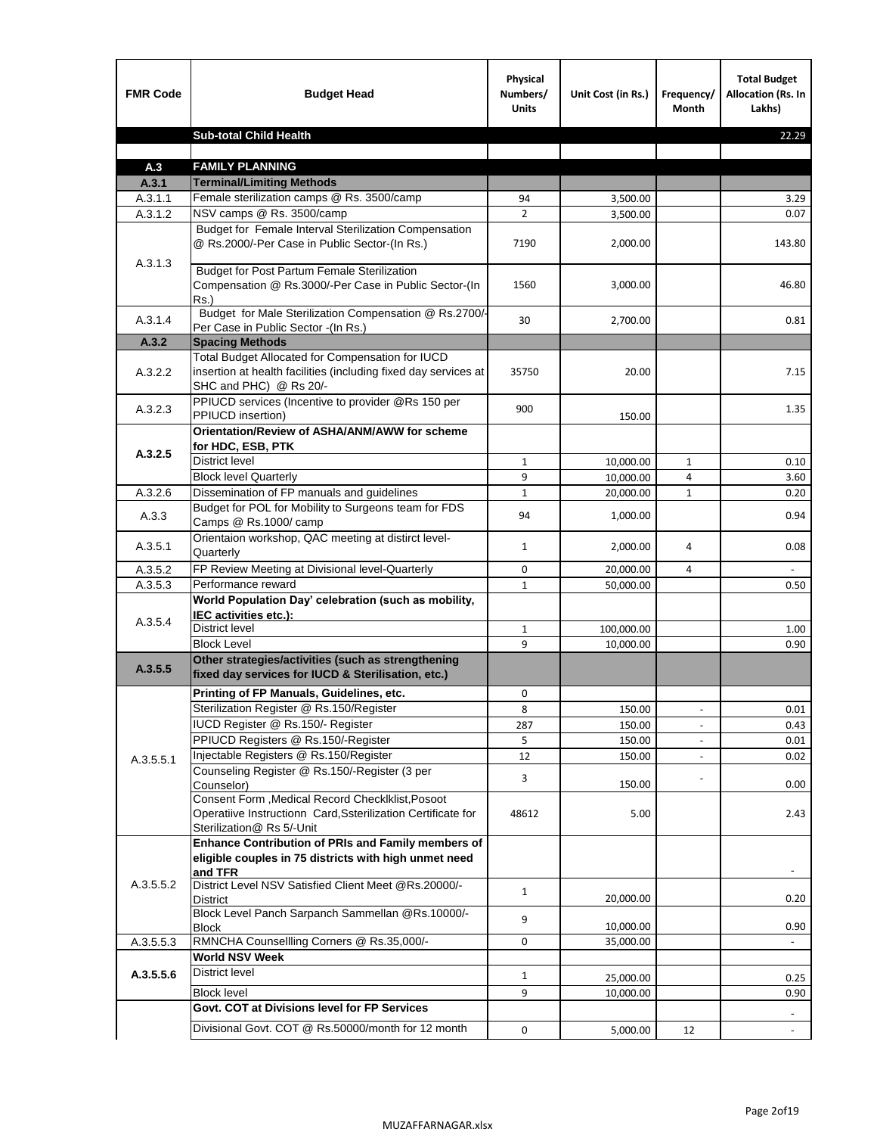| <b>FMR Code</b>    | <b>Budget Head</b>                                                                                                                             | Physical<br>Numbers/<br><b>Units</b> | Unit Cost (in Rs.) | Frequency/<br><b>Month</b> | <b>Total Budget</b><br>Allocation (Rs. In<br>Lakhs) |
|--------------------|------------------------------------------------------------------------------------------------------------------------------------------------|--------------------------------------|--------------------|----------------------------|-----------------------------------------------------|
|                    | <b>Sub-total Child Health</b>                                                                                                                  |                                      |                    |                            | 22.29                                               |
|                    |                                                                                                                                                |                                      |                    |                            |                                                     |
| A.3                | <b>FAMILY PLANNING</b>                                                                                                                         |                                      |                    |                            |                                                     |
| A.3.1              | <b>Terminal/Limiting Methods</b>                                                                                                               |                                      |                    |                            |                                                     |
| A.3.1.1<br>A.3.1.2 | Female sterilization camps @ Rs. 3500/camp<br>NSV camps @ Rs. 3500/camp                                                                        | 94<br>$\overline{2}$                 | 3,500.00           |                            | 3.29<br>0.07                                        |
|                    | Budget for Female Interval Sterilization Compensation                                                                                          |                                      | 3,500.00           |                            |                                                     |
| A.3.1.3            | @ Rs.2000/-Per Case in Public Sector-(In Rs.)                                                                                                  | 7190                                 | 2,000.00           |                            | 143.80                                              |
|                    | <b>Budget for Post Partum Female Sterilization</b><br>Compensation @ Rs.3000/-Per Case in Public Sector-(In<br>$Rs.$ )                         | 1560                                 | 3,000.00           |                            | 46.80                                               |
| A.3.1.4            | Budget for Male Sterilization Compensation @ Rs.2700/-<br>Per Case in Public Sector -(In Rs.)                                                  | 30                                   | 2,700.00           |                            | 0.81                                                |
| A.3.2              | <b>Spacing Methods</b>                                                                                                                         |                                      |                    |                            |                                                     |
| A.3.2.2            | Total Budget Allocated for Compensation for IUCD<br>insertion at health facilities (including fixed day services at<br>SHC and PHC) @ Rs 20/-  | 35750                                | 20.00              |                            | 7.15                                                |
| A.3.2.3            | PPIUCD services (Incentive to provider @Rs 150 per<br>PPIUCD insertion)                                                                        | 900                                  | 150.00             |                            | 1.35                                                |
|                    | Orientation/Review of ASHA/ANM/AWW for scheme<br>for HDC, ESB, PTK                                                                             |                                      |                    |                            |                                                     |
| A.3.2.5            | <b>District level</b>                                                                                                                          | $\mathbf{1}$                         | 10,000.00          | $\mathbf{1}$               | 0.10                                                |
|                    | <b>Block level Quarterly</b>                                                                                                                   | 9                                    | 10,000.00          | 4                          | 3.60                                                |
| A.3.2.6            | Dissemination of FP manuals and guidelines                                                                                                     | $\mathbf{1}$                         | 20,000.00          | $\mathbf{1}$               | 0.20                                                |
| A.3.3              | Budget for POL for Mobility to Surgeons team for FDS<br>Camps @ Rs.1000/ camp                                                                  | 94                                   | 1,000.00           |                            | 0.94                                                |
| A.3.5.1            | Orientaion workshop, QAC meeting at distirct level-<br>Quarterly                                                                               | $\mathbf{1}$                         | 2,000.00           | 4                          | 0.08                                                |
| A.3.5.2            | FP Review Meeting at Divisional level-Quarterly                                                                                                | 0                                    | 20,000.00          | 4                          |                                                     |
| A.3.5.3            | Performance reward                                                                                                                             | $\mathbf{1}$                         | 50,000.00          |                            | 0.50                                                |
| A.3.5.4            | World Population Day' celebration (such as mobility,<br>IEC activities etc.):                                                                  |                                      |                    |                            |                                                     |
|                    | District level                                                                                                                                 | $\mathbf{1}$                         | 100,000.00         |                            | 1.00                                                |
|                    | <b>Block Level</b>                                                                                                                             | 9                                    | 10.000.00          |                            | 0.90                                                |
| A.3.5.5            | Other strategies/activities (such as strengthening<br>fixed day services for IUCD & Sterilisation, etc.)                                       |                                      |                    |                            |                                                     |
|                    | Printing of FP Manuals, Guidelines, etc.                                                                                                       | 0                                    |                    |                            |                                                     |
|                    | Sterilization Register @ Rs.150/Register                                                                                                       | 8                                    | 150.00             | $\centerdot$               | 0.01                                                |
|                    | IUCD Register @ Rs.150/- Register                                                                                                              | 287                                  | 150.00             |                            | 0.43                                                |
|                    | PPIUCD Registers @ Rs.150/-Register                                                                                                            | 5                                    | 150.00             |                            | 0.01                                                |
| A.3.5.5.1          | Injectable Registers @ Rs.150/Register                                                                                                         | 12                                   | 150.00             |                            | 0.02                                                |
|                    | Counseling Register @ Rs.150/-Register (3 per<br>Counselor)                                                                                    | 3                                    | 150.00             |                            | 0.00                                                |
|                    | Consent Form , Medical Record CheckIklist, Posoot<br>Operatiive Instructionn Card, Ssterilization Certificate for<br>Sterilization@ Rs 5/-Unit | 48612                                | 5.00               |                            | 2.43                                                |
|                    | Enhance Contribution of PRIs and Family members of<br>eligible couples in 75 districts with high unmet need<br>and TFR                         |                                      |                    |                            |                                                     |
| A.3.5.5.2          | District Level NSV Satisfied Client Meet @Rs.20000/-<br>District                                                                               | $\mathbf{1}$                         | 20,000.00          |                            | 0.20                                                |
|                    | Block Level Panch Sarpanch Sammellan @Rs.10000/-<br><b>Block</b>                                                                               | 9                                    | 10,000.00          |                            | 0.90                                                |
| A.3.5.5.3          | RMNCHA Counsellling Corners @ Rs.35,000/-                                                                                                      | 0                                    | 35,000.00          |                            |                                                     |
|                    | <b>World NSV Week</b>                                                                                                                          |                                      |                    |                            |                                                     |
| A.3.5.5.6          | <b>District level</b>                                                                                                                          | $\mathbf{1}$                         | 25,000.00          |                            | 0.25                                                |
|                    | <b>Block level</b>                                                                                                                             | 9                                    | 10,000.00          |                            | 0.90                                                |
|                    | Govt. COT at Divisions level for FP Services                                                                                                   |                                      |                    |                            |                                                     |
|                    | Divisional Govt. COT @ Rs.50000/month for 12 month                                                                                             | 0                                    | 5,000.00           | 12                         | $\omega$                                            |
|                    |                                                                                                                                                |                                      |                    |                            |                                                     |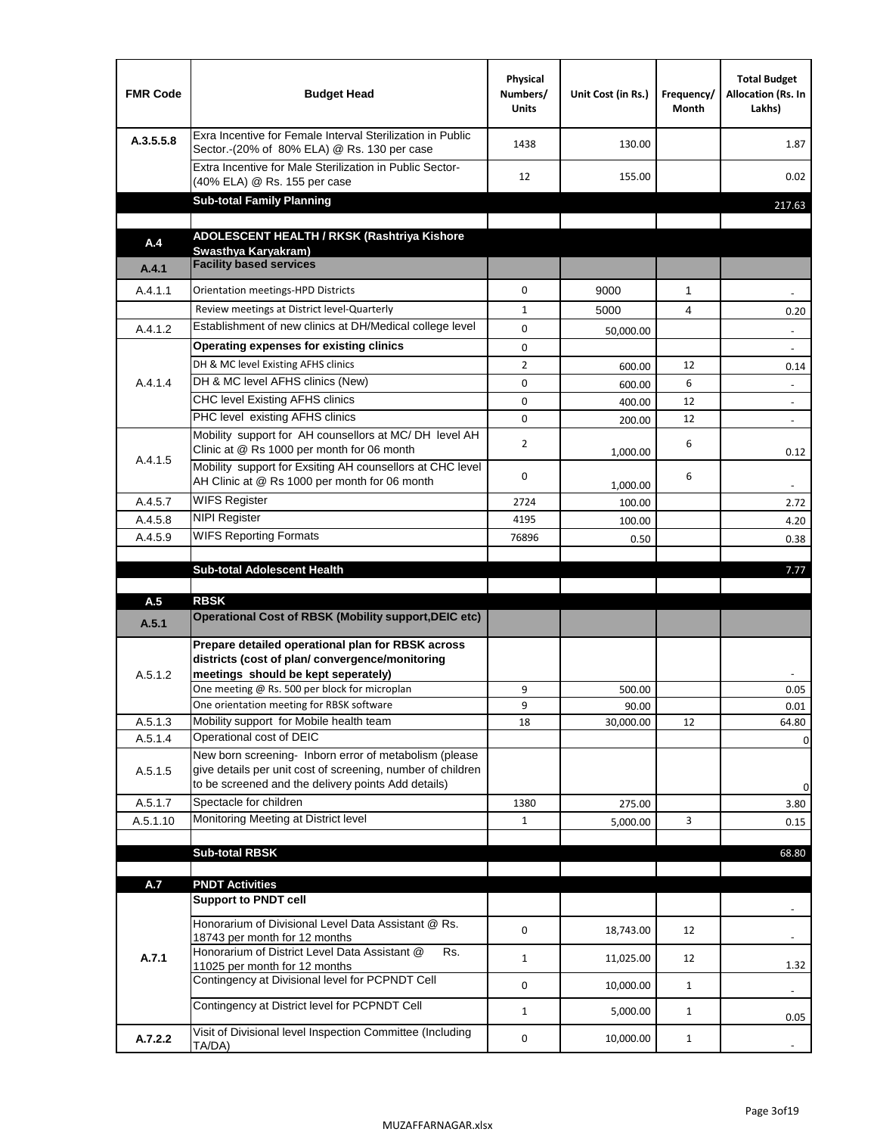| <b>FMR Code</b> | <b>Budget Head</b>                                                                                                                                                                          | Physical<br>Numbers/<br><b>Units</b> | Unit Cost (in Rs.) | Frequency/<br>Month | <b>Total Budget</b><br>Allocation (Rs. In<br>Lakhs) |
|-----------------|---------------------------------------------------------------------------------------------------------------------------------------------------------------------------------------------|--------------------------------------|--------------------|---------------------|-----------------------------------------------------|
| A.3.5.5.8       | Exra Incentive for Female Interval Sterilization in Public<br>Sector.-(20% of 80% ELA) @ Rs. 130 per case                                                                                   | 1438                                 | 130.00             |                     | 1.87                                                |
|                 | Extra Incentive for Male Sterilization in Public Sector-<br>(40% ELA) @ Rs. 155 per case                                                                                                    | 12                                   | 155.00             |                     | 0.02                                                |
|                 | <b>Sub-total Family Planning</b>                                                                                                                                                            |                                      |                    |                     | 217.63                                              |
|                 | ADOLESCENT HEALTH / RKSK (Rashtriya Kishore                                                                                                                                                 |                                      |                    |                     |                                                     |
| A.4             | Swasthya Karyakram)                                                                                                                                                                         |                                      |                    |                     |                                                     |
| A.4.1           | <b>Facility based services</b>                                                                                                                                                              |                                      |                    |                     |                                                     |
| A.4.1.1         | Orientation meetings-HPD Districts                                                                                                                                                          | $\Omega$                             | 9000               | $\mathbf{1}$        |                                                     |
|                 | Review meetings at District level-Quarterly                                                                                                                                                 | $\mathbf{1}$                         | 5000               | 4                   | 0.20                                                |
| A.4.1.2         | Establishment of new clinics at DH/Medical college level                                                                                                                                    | $\Omega$                             | 50,000.00          |                     |                                                     |
|                 | Operating expenses for existing clinics                                                                                                                                                     | 0                                    |                    |                     |                                                     |
|                 | DH & MC level Existing AFHS clinics                                                                                                                                                         | $\overline{2}$                       | 600.00             | 12                  | 0.14                                                |
| A.4.1.4         | DH & MC level AFHS clinics (New)                                                                                                                                                            | 0                                    | 600.00             | 6                   | $\overline{\phantom{a}}$                            |
|                 | CHC level Existing AFHS clinics                                                                                                                                                             | 0                                    | 400.00             | 12                  | $\overline{\phantom{a}}$                            |
|                 | PHC level existing AFHS clinics                                                                                                                                                             | $\Omega$                             | 200.00             | 12                  | $\blacksquare$                                      |
| A.4.1.5         | Mobility support for AH counsellors at MC/DH level AH<br>Clinic at @ Rs 1000 per month for 06 month                                                                                         | 2                                    | 1,000.00           | 6                   | 0.12                                                |
|                 | Mobility support for Exsiting AH counsellors at CHC level<br>AH Clinic at @ Rs 1000 per month for 06 month                                                                                  | 0                                    | 1,000.00           | 6                   |                                                     |
| A.4.5.7         | <b>WIFS Register</b>                                                                                                                                                                        | 2724                                 | 100.00             |                     | 2.72                                                |
| A.4.5.8         | <b>NIPI Register</b>                                                                                                                                                                        | 4195                                 | 100.00             |                     | 4.20                                                |
| A.4.5.9         | <b>WIFS Reporting Formats</b>                                                                                                                                                               | 76896                                | 0.50               |                     | 0.38                                                |
|                 |                                                                                                                                                                                             |                                      |                    |                     |                                                     |
|                 | <b>Sub-total Adolescent Health</b>                                                                                                                                                          |                                      |                    |                     | 7.77                                                |
|                 | <b>RBSK</b>                                                                                                                                                                                 |                                      |                    |                     |                                                     |
| A.5<br>A.5.1    | <b>Operational Cost of RBSK (Mobility support, DEIC etc)</b>                                                                                                                                |                                      |                    |                     |                                                     |
| A.5.1.2         | Prepare detailed operational plan for RBSK across<br>districts (cost of plan/convergence/monitoring<br>meetings should be kept seperately)<br>One meeting @ Rs. 500 per block for microplan | 9                                    | 500.00             |                     | 0.05                                                |
|                 | One orientation meeting for RBSK software                                                                                                                                                   | 9                                    | 90.00              |                     | 0.01                                                |
| A.5.1.3         | Mobility support for Mobile health team                                                                                                                                                     | 18                                   | 30,000.00          | 12                  | 64.80                                               |
| A.5.1.4         | Operational cost of DEIC                                                                                                                                                                    |                                      |                    |                     | 0                                                   |
| A.5.1.5         | New born screening- Inborn error of metabolism (please<br>give details per unit cost of screening, number of children<br>to be screened and the delivery points Add details)                |                                      |                    |                     | 0                                                   |
| A.5.1.7         | Spectacle for children                                                                                                                                                                      | 1380                                 | 275.00             |                     | 3.80                                                |
| A.5.1.10        | Monitoring Meeting at District level                                                                                                                                                        | $\mathbf{1}$                         | 5,000.00           | 3                   | 0.15                                                |
|                 |                                                                                                                                                                                             |                                      |                    |                     |                                                     |
|                 | <b>Sub-total RBSK</b>                                                                                                                                                                       |                                      |                    |                     | 68.80                                               |
|                 |                                                                                                                                                                                             |                                      |                    |                     |                                                     |
| A.7             | <b>PNDT Activities</b><br><b>Support to PNDT cell</b>                                                                                                                                       |                                      |                    |                     |                                                     |
|                 | Honorarium of Divisional Level Data Assistant @ Rs.<br>18743 per month for 12 months                                                                                                        | 0                                    | 18,743.00          | 12                  |                                                     |
| A.7.1           | Honorarium of District Level Data Assistant @<br>Rs.<br>11025 per month for 12 months                                                                                                       | $\mathbf{1}$                         | 11,025.00          | 12                  | 1.32                                                |
|                 | Contingency at Divisional level for PCPNDT Cell                                                                                                                                             | 0                                    | 10,000.00          | $\mathbf{1}$        | $\overline{\phantom{a}}$                            |
|                 | Contingency at District level for PCPNDT Cell                                                                                                                                               | $\mathbf{1}$                         | 5,000.00           | $\mathbf{1}$        | 0.05                                                |
| A.7.2.2         | Visit of Divisional level Inspection Committee (Including<br>TA/DA)                                                                                                                         | 0                                    | 10,000.00          | $\mathbf{1}$        |                                                     |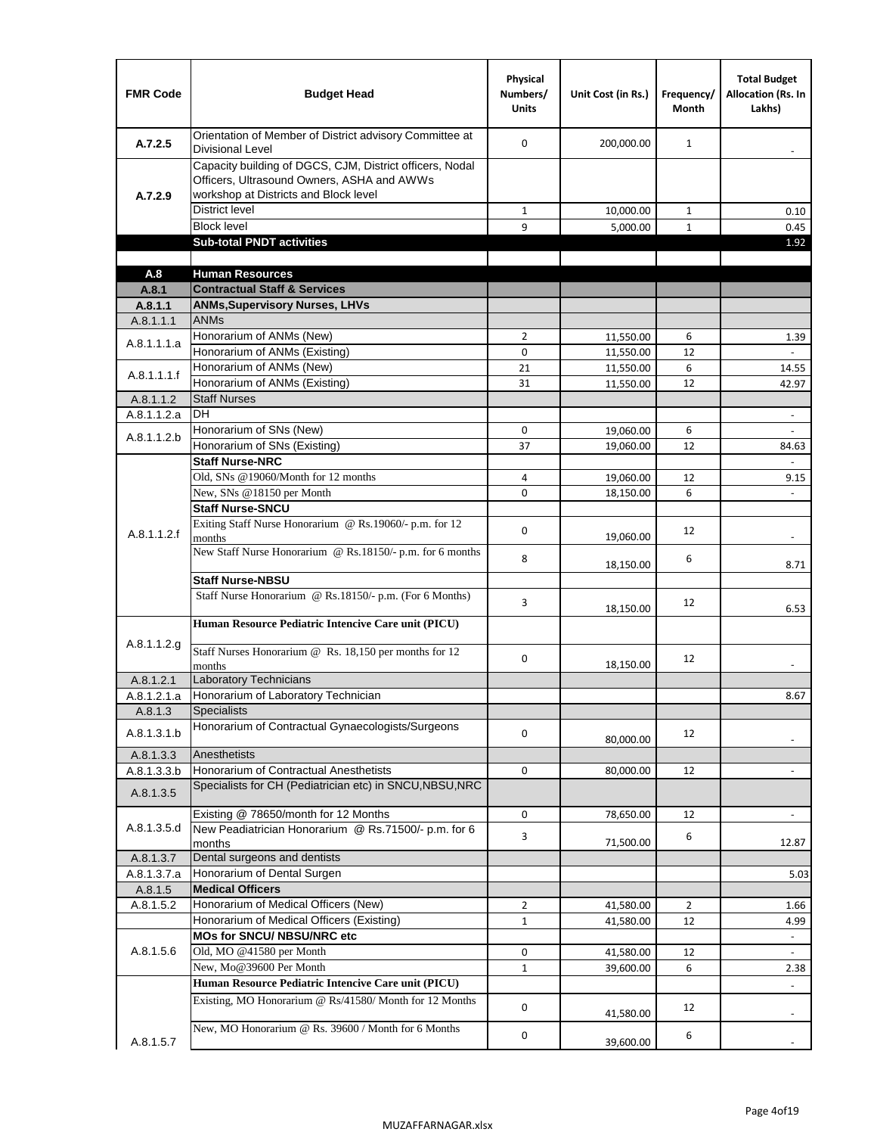| <b>FMR Code</b>          | <b>Budget Head</b>                                                                                                                              | Physical<br>Numbers/<br><b>Units</b> | Unit Cost (in Rs.)     | Frequency/<br><b>Month</b> | <b>Total Budget</b><br><b>Allocation (Rs. In</b><br>Lakhs) |
|--------------------------|-------------------------------------------------------------------------------------------------------------------------------------------------|--------------------------------------|------------------------|----------------------------|------------------------------------------------------------|
| A.7.2.5                  | Orientation of Member of District advisory Committee at<br><b>Divisional Level</b>                                                              | $\Omega$                             | 200,000.00             | $\mathbf{1}$               | $\overline{\phantom{m}}$                                   |
| A.7.2.9                  | Capacity building of DGCS, CJM, District officers, Nodal<br>Officers, Ultrasound Owners, ASHA and AWWs<br>workshop at Districts and Block level |                                      |                        |                            |                                                            |
|                          | <b>District level</b>                                                                                                                           | $\mathbf{1}$                         | 10,000.00              | 1                          | 0.10                                                       |
|                          | <b>Block level</b>                                                                                                                              | 9                                    | 5,000.00               | $\mathbf{1}$               | 0.45                                                       |
|                          | <b>Sub-total PNDT activities</b>                                                                                                                |                                      |                        |                            | 1.92                                                       |
|                          |                                                                                                                                                 |                                      |                        |                            |                                                            |
| A.8                      | <b>Human Resources</b>                                                                                                                          |                                      |                        |                            |                                                            |
| A.8.1                    | <b>Contractual Staff &amp; Services</b>                                                                                                         |                                      |                        |                            |                                                            |
| A.8.1.1<br>A.8.1.1.1     | <b>ANMs, Supervisory Nurses, LHVs</b><br><b>ANMs</b>                                                                                            |                                      |                        |                            |                                                            |
|                          | Honorarium of ANMs (New)                                                                                                                        | $\overline{2}$                       |                        | 6                          |                                                            |
| A.8.1.1.1.a              | Honorarium of ANMs (Existing)                                                                                                                   | 0                                    | 11,550.00<br>11,550.00 | 12                         | 1.39                                                       |
|                          | Honorarium of ANMs (New)                                                                                                                        | 21                                   | 11,550.00              | 6                          | 14.55                                                      |
| A.8.1.1.1.f              | Honorarium of ANMs (Existing)                                                                                                                   | 31                                   | 11,550.00              | 12                         | 42.97                                                      |
| A.8.1.1.2                | <b>Staff Nurses</b>                                                                                                                             |                                      |                        |                            |                                                            |
| A.8.1.1.2.a              | <b>DH</b>                                                                                                                                       |                                      |                        |                            | $\blacksquare$                                             |
|                          | Honorarium of SNs (New)                                                                                                                         | 0                                    | 19,060.00              | 6                          |                                                            |
| A.8.1.1.2.b              | Honorarium of SNs (Existing)                                                                                                                    | 37                                   | 19.060.00              | 12                         | 84.63                                                      |
|                          | <b>Staff Nurse-NRC</b>                                                                                                                          |                                      |                        |                            | $\overline{\phantom{a}}$                                   |
|                          | Old, SNs @19060/Month for 12 months                                                                                                             | 4                                    | 19,060.00              | 12                         | 9.15                                                       |
|                          | New, SNs @18150 per Month                                                                                                                       | 0                                    | 18,150.00              | 6                          |                                                            |
|                          | <b>Staff Nurse-SNCU</b>                                                                                                                         |                                      |                        |                            |                                                            |
| A.8.1.1.2.f              | Exiting Staff Nurse Honorarium @ Rs.19060/- p.m. for 12<br>months                                                                               | $\Omega$                             | 19,060.00              | 12                         | -                                                          |
|                          | New Staff Nurse Honorarium @ Rs.18150/- p.m. for 6 months<br><b>Staff Nurse-NBSU</b>                                                            | 8                                    | 18,150.00              | 6                          | 8.71                                                       |
|                          |                                                                                                                                                 |                                      |                        |                            |                                                            |
|                          | Staff Nurse Honorarium @ Rs.18150/- p.m. (For 6 Months)<br>Human Resource Pediatric Intencive Care unit (PICU)                                  | 3                                    | 18,150.00              | 12                         | 6.53                                                       |
|                          |                                                                                                                                                 |                                      |                        |                            |                                                            |
| A.8.1.1.2.g              | Staff Nurses Honorarium @ Rs. 18,150 per months for 12<br>months                                                                                | 0                                    | 18,150.00              | 12                         |                                                            |
| A.8.1.2.1                | <b>Laboratory Technicians</b>                                                                                                                   |                                      |                        |                            |                                                            |
| A.8.1.2.1.a              | Honorarium of Laboratory Technician                                                                                                             |                                      |                        |                            | 8.67                                                       |
| A.8.1.3                  | <b>Specialists</b>                                                                                                                              |                                      |                        |                            |                                                            |
| A.8.1.3.1.b              | Honorarium of Contractual Gynaecologists/Surgeons                                                                                               | $\mathbf 0$                          | 80,000.00              | 12                         |                                                            |
| A.8.1.3.3                | Anesthetists                                                                                                                                    |                                      |                        |                            |                                                            |
| A.8.1.3.3.b<br>A.8.1.3.5 | Honorarium of Contractual Anesthetists<br>Specialists for CH (Pediatrician etc) in SNCU, NBSU, NRC                                              | 0                                    | 80,000.00              | 12                         |                                                            |
|                          | Existing @ 78650/month for 12 Months                                                                                                            | 0                                    | 78,650.00              | 12                         | $\blacksquare$                                             |
| A.8.1.3.5.d              | New Peadiatrician Honorarium @ Rs.71500/- p.m. for 6<br>months                                                                                  | 3                                    | 71,500.00              | 6                          | 12.87                                                      |
| A.8.1.3.7                | Dental surgeons and dentists                                                                                                                    |                                      |                        |                            |                                                            |
| A.8.1.3.7.a              | Honorarium of Dental Surgen                                                                                                                     |                                      |                        |                            | 5.03                                                       |
| A.8.1.5                  | <b>Medical Officers</b>                                                                                                                         |                                      |                        |                            |                                                            |
| A.8.1.5.2                | Honorarium of Medical Officers (New)                                                                                                            | $\overline{2}$                       | 41,580.00              | $\overline{2}$             | 1.66                                                       |
|                          | Honorarium of Medical Officers (Existing)                                                                                                       | $\mathbf{1}$                         | 41,580.00              | 12                         | 4.99                                                       |
|                          | MOs for SNCU/ NBSU/NRC etc                                                                                                                      |                                      |                        |                            |                                                            |
| A.8.1.5.6                | Old, MO @41580 per Month                                                                                                                        | 0                                    | 41,580.00              | 12                         | $\omega$                                                   |
|                          | New, Mo@39600 Per Month                                                                                                                         | $\mathbf{1}$                         | 39,600.00              | 6                          | 2.38                                                       |
|                          | Human Resource Pediatric Intencive Care unit (PICU)                                                                                             |                                      |                        |                            |                                                            |
|                          | Existing, MO Honorarium @ Rs/41580/ Month for 12 Months                                                                                         | $\mathbf 0$                          | 41,580.00              | 12                         |                                                            |
| A.8.1.5.7                | New, MO Honorarium @ Rs. 39600 / Month for 6 Months                                                                                             | 0                                    | 39,600.00              | 6                          |                                                            |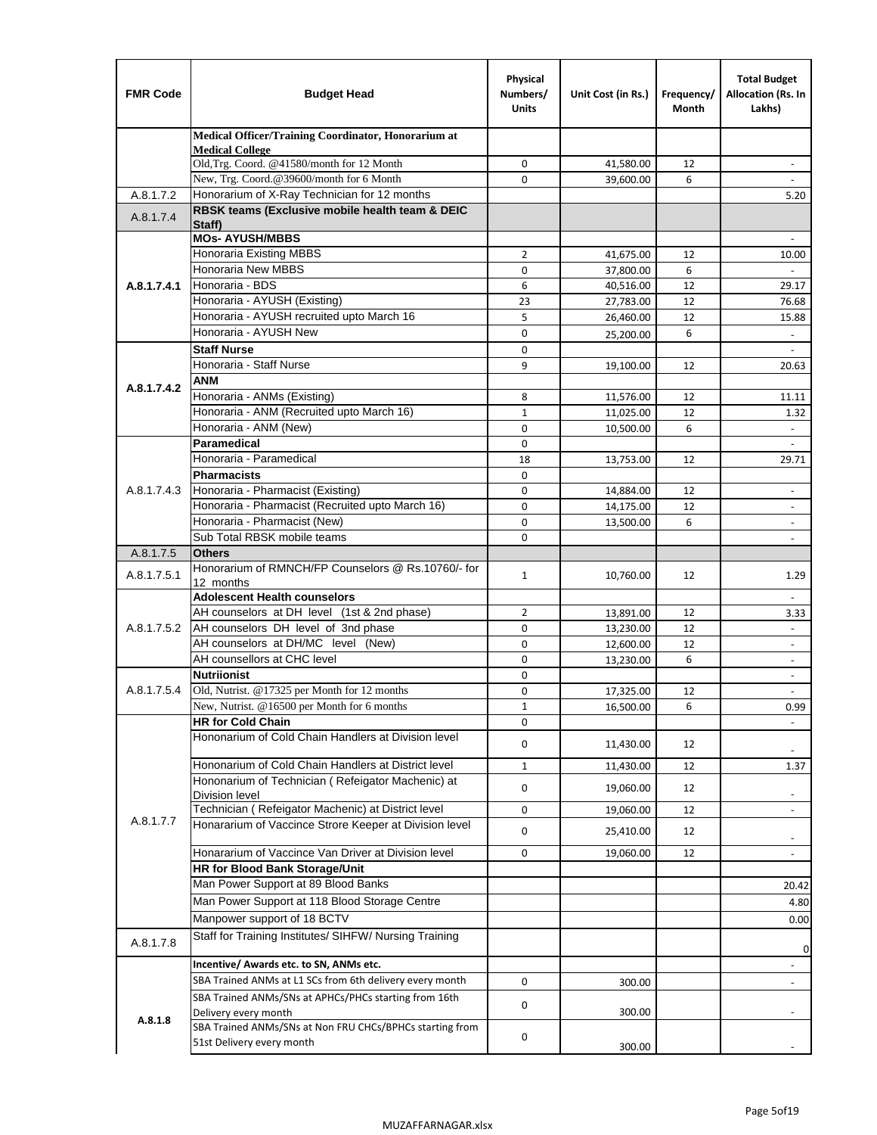| <b>FMR Code</b> | <b>Budget Head</b>                                                                                           | Physical<br>Numbers/<br><b>Units</b> | Unit Cost (in Rs.) | Frequency/<br>Month | <b>Total Budget</b><br>Allocation (Rs. In<br>Lakhs) |
|-----------------|--------------------------------------------------------------------------------------------------------------|--------------------------------------|--------------------|---------------------|-----------------------------------------------------|
|                 | Medical Officer/Training Coordinator, Honorarium at                                                          |                                      |                    |                     |                                                     |
|                 | <b>Medical College</b><br>Old, Trg. Coord. @41580/month for 12 Month                                         | $\mathbf 0$                          | 41,580.00          | 12                  | $\overline{\phantom{a}}$                            |
|                 | New, Trg. Coord.@39600/month for 6 Month                                                                     | $\Omega$                             | 39,600.00          | 6                   |                                                     |
| A.8.1.7.2       | Honorarium of X-Ray Technician for 12 months                                                                 |                                      |                    |                     | 5.20                                                |
| A.8.1.7.4       | RBSK teams (Exclusive mobile health team & DEIC<br>Staff)                                                    |                                      |                    |                     |                                                     |
|                 | <b>MOs- AYUSH/MBBS</b>                                                                                       |                                      |                    |                     |                                                     |
|                 | <b>Honoraria Existing MBBS</b>                                                                               | $\overline{2}$                       | 41,675.00          | 12                  | 10.00                                               |
|                 | Honoraria New MBBS                                                                                           | 0                                    | 37,800.00          | 6                   | $\overline{\phantom{a}}$                            |
| A.8.1.7.4.1     | Honoraria - BDS                                                                                              | 6                                    | 40,516.00          | 12                  | 29.17                                               |
|                 | Honoraria - AYUSH (Existing)                                                                                 | 23<br>5                              | 27,783.00          | 12                  | 76.68                                               |
|                 | Honoraria - AYUSH recruited upto March 16<br>Honoraria - AYUSH New                                           |                                      | 26,460.00          | 12                  | 15.88                                               |
|                 | <b>Staff Nurse</b>                                                                                           | $\mathbf 0$<br>$\Omega$              | 25,200.00          | 6                   | $\overline{\phantom{a}}$                            |
|                 | Honoraria - Staff Nurse                                                                                      | 9                                    |                    | 12                  |                                                     |
|                 | <b>ANM</b>                                                                                                   |                                      | 19,100.00          |                     | 20.63                                               |
| A.8.1.7.4.2     | Honoraria - ANMs (Existing)                                                                                  | 8                                    | 11,576.00          | 12                  | 11.11                                               |
|                 | Honoraria - ANM (Recruited upto March 16)                                                                    | $\mathbf{1}$                         | 11,025.00          | 12                  | 1.32                                                |
|                 | Honoraria - ANM (New)                                                                                        | $\mathbf 0$                          | 10,500.00          | 6                   |                                                     |
|                 | Paramedical                                                                                                  | $\mathbf 0$                          |                    |                     | $\overline{\phantom{a}}$                            |
|                 | Honoraria - Paramedical                                                                                      | 18                                   | 13,753.00          | 12                  | 29.71                                               |
|                 | <b>Pharmacists</b>                                                                                           | $\mathbf 0$                          |                    |                     |                                                     |
| A.8.1.7.4.3     | Honoraria - Pharmacist (Existing)                                                                            | $\mathbf 0$                          | 14,884.00          | 12                  | $\overline{\phantom{a}}$                            |
|                 | Honoraria - Pharmacist (Recruited upto March 16)                                                             | 0                                    | 14,175.00          | 12                  | $\blacksquare$                                      |
|                 | Honoraria - Pharmacist (New)                                                                                 | $\Omega$                             | 13,500.00          | 6                   | $\overline{\phantom{a}}$                            |
|                 | Sub Total RBSK mobile teams                                                                                  | $\Omega$                             |                    |                     | $\overline{\phantom{a}}$                            |
| A.8.1.7.5       | <b>Others</b>                                                                                                |                                      |                    |                     |                                                     |
| A.8.1.7.5.1     | Honorarium of RMNCH/FP Counselors @ Rs.10760/- for                                                           | $\mathbf{1}$                         | 10,760.00          | 12                  | 1.29                                                |
|                 | 12 months<br><b>Adolescent Health counselors</b>                                                             |                                      |                    |                     | $\overline{\phantom{a}}$                            |
|                 | AH counselors at DH level (1st & 2nd phase)                                                                  | 2                                    | 13,891.00          | 12                  | 3.33                                                |
| A.8.1.7.5.2     | AH counselors DH level of 3nd phase                                                                          | $\mathbf 0$                          | 13,230.00          | 12                  | $\overline{\phantom{a}}$                            |
|                 | AH counselors at DH/MC level (New)                                                                           | 0                                    | 12,600.00          | 12                  | $\overline{\phantom{a}}$                            |
|                 | AH counsellors at CHC level                                                                                  | $\mathbf 0$                          | 13,230.00          | 6                   | $\overline{\phantom{a}}$                            |
|                 | <b>Nutriionist</b>                                                                                           | 0                                    |                    |                     | $\overline{\phantom{a}}$                            |
| A.8.1.7.5.4     | Old, Nutrist. @17325 per Month for 12 months                                                                 | 0                                    | 17,325.00          | 12                  | $\overline{\phantom{a}}$                            |
|                 | New, Nutrist. $@16500$ per Month for 6 months                                                                | 1                                    | 16,500.00          | 6                   | 0.99                                                |
|                 | <b>HR for Cold Chain</b>                                                                                     | 0                                    |                    |                     |                                                     |
|                 | Hononarium of Cold Chain Handlers at Division level                                                          | 0                                    | 11,430.00          | 12                  |                                                     |
|                 | Hononarium of Cold Chain Handlers at District level                                                          | $\mathbf{1}$                         | 11,430.00          | 12                  | 1.37                                                |
|                 | Hononarium of Technician (Refeigator Machenic) at                                                            | 0                                    | 19,060.00          | 12                  |                                                     |
|                 | <b>Division level</b>                                                                                        |                                      |                    |                     | $\overline{\phantom{a}}$                            |
| A.8.1.7.7       | Technician (Refeigator Machenic) at District level<br>Honararium of Vaccince Strore Keeper at Division level | 0                                    | 19,060.00          | 12                  | $\blacksquare$                                      |
|                 |                                                                                                              | 0                                    | 25,410.00          | 12                  | $\overline{\phantom{a}}$                            |
|                 | Honararium of Vaccince Van Driver at Division level                                                          | 0                                    | 19,060.00          | 12                  | $\overline{\phantom{a}}$                            |
|                 | <b>HR for Blood Bank Storage/Unit</b><br>Man Power Support at 89 Blood Banks                                 |                                      |                    |                     |                                                     |
|                 |                                                                                                              |                                      |                    |                     | 20.42                                               |
|                 | Man Power Support at 118 Blood Storage Centre                                                                |                                      |                    |                     | 4.80                                                |
|                 | Manpower support of 18 BCTV                                                                                  |                                      |                    |                     | 0.00                                                |
| A.8.1.7.8       | Staff for Training Institutes/ SIHFW/ Nursing Training                                                       |                                      |                    |                     | 0                                                   |
|                 | Incentive/ Awards etc. to SN, ANMs etc.                                                                      |                                      |                    |                     | $\overline{\phantom{a}}$                            |
|                 | SBA Trained ANMs at L1 SCs from 6th delivery every month                                                     | 0                                    | 300.00             |                     | $\blacksquare$                                      |
|                 | SBA Trained ANMs/SNs at APHCs/PHCs starting from 16th<br>Delivery every month                                | 0                                    | 300.00             |                     |                                                     |
| A.8.1.8         | SBA Trained ANMs/SNs at Non FRU CHCs/BPHCs starting from<br>51st Delivery every month                        | 0                                    |                    |                     |                                                     |
|                 |                                                                                                              |                                      | 300.00             |                     |                                                     |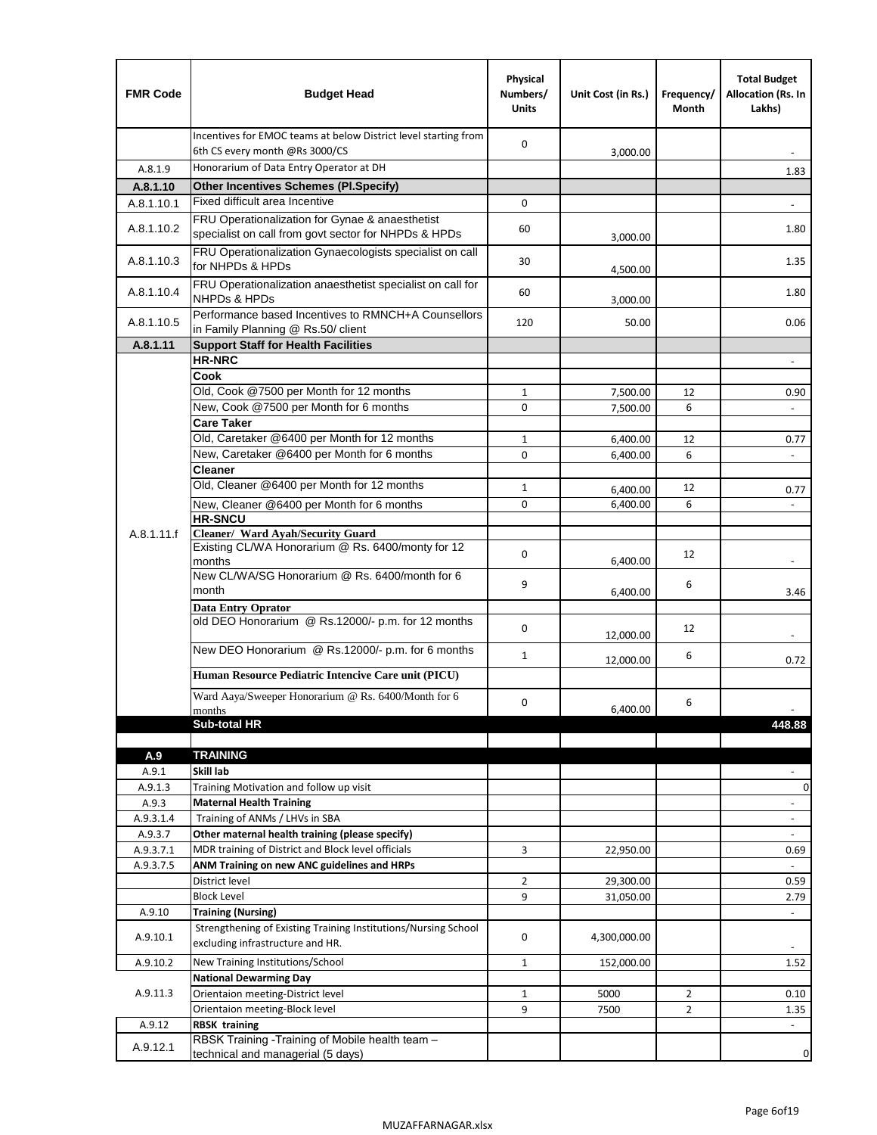| <b>FMR Code</b>  | <b>Budget Head</b>                                                                                      | Physical<br>Numbers/<br><b>Units</b> | Unit Cost (in Rs.)   | Frequency/<br>Month | <b>Total Budget</b><br>Allocation (Rs. In<br>Lakhs) |
|------------------|---------------------------------------------------------------------------------------------------------|--------------------------------------|----------------------|---------------------|-----------------------------------------------------|
|                  | Incentives for EMOC teams at below District level starting from<br>6th CS every month @Rs 3000/CS       | $\mathbf 0$                          | 3,000.00             |                     |                                                     |
| A.8.1.9          | Honorarium of Data Entry Operator at DH                                                                 |                                      |                      |                     | 1.83                                                |
| A.8.1.10         | <b>Other Incentives Schemes (PI.Specify)</b>                                                            |                                      |                      |                     |                                                     |
| A.8.1.10.1       | Fixed difficult area Incentive                                                                          | 0                                    |                      |                     |                                                     |
| A.8.1.10.2       | FRU Operationalization for Gynae & anaesthetist<br>specialist on call from govt sector for NHPDs & HPDs | 60                                   | 3,000.00             |                     | 1.80                                                |
| A.8.1.10.3       | FRU Operationalization Gynaecologists specialist on call<br>for NHPDs & HPDs                            | 30                                   | 4,500.00             |                     | 1.35                                                |
| A.8.1.10.4       | FRU Operationalization anaesthetist specialist on call for<br><b>NHPDs &amp; HPDs</b>                   | 60                                   | 3,000.00             |                     | 1.80                                                |
| A.8.1.10.5       | Performance based Incentives to RMNCH+A Counsellors<br>in Family Planning @ Rs.50/ client               | 120                                  | 50.00                |                     | 0.06                                                |
| A.8.1.11         | <b>Support Staff for Health Facilities</b>                                                              |                                      |                      |                     |                                                     |
|                  | <b>HR-NRC</b>                                                                                           |                                      |                      |                     | $\blacksquare$                                      |
|                  | Cook                                                                                                    |                                      |                      |                     |                                                     |
|                  | Old, Cook @7500 per Month for 12 months                                                                 | 1                                    | 7,500.00             | 12                  | 0.90                                                |
|                  | New, Cook @7500 per Month for 6 months                                                                  | 0                                    | 7,500.00             | 6                   | $\blacksquare$                                      |
|                  | <b>Care Taker</b><br>Old, Caretaker @6400 per Month for 12 months                                       |                                      |                      |                     |                                                     |
|                  | New, Caretaker @6400 per Month for 6 months                                                             | $\mathbf{1}$<br>0                    | 6,400.00             | 12<br>6             | 0.77                                                |
|                  | <b>Cleaner</b>                                                                                          |                                      | 6,400.00             |                     |                                                     |
|                  | Old, Cleaner @6400 per Month for 12 months                                                              | $\mathbf{1}$                         |                      | 12                  |                                                     |
|                  | New, Cleaner @6400 per Month for 6 months                                                               | $\mathbf 0$                          | 6,400.00<br>6,400.00 | 6                   | 0.77                                                |
|                  | <b>HR-SNCU</b>                                                                                          |                                      |                      |                     |                                                     |
| A.8.1.11.f       | Cleaner/ Ward Ayah/Security Guard                                                                       |                                      |                      |                     |                                                     |
|                  | Existing CL/WA Honorarium @ Rs. 6400/monty for 12<br>months                                             | $\mathbf 0$                          | 6,400.00             | 12                  |                                                     |
|                  | New CL/WA/SG Honorarium @ Rs. 6400/month for 6<br>month                                                 | 9                                    | 6,400.00             | 6                   | 3.46                                                |
|                  | <b>Data Entry Oprator</b>                                                                               |                                      |                      |                     |                                                     |
|                  | old DEO Honorarium @ Rs.12000/- p.m. for 12 months                                                      | $\mathbf 0$                          | 12,000.00            | 12                  |                                                     |
|                  | New DEO Honorarium @ Rs.12000/- p.m. for 6 months                                                       | $\mathbf{1}$                         | 12,000.00            | 6                   | 0.72                                                |
|                  | Human Resource Pediatric Intencive Care unit (PICU)                                                     |                                      |                      |                     |                                                     |
|                  | Ward Aaya/Sweeper Honorarium @ Rs. 6400/Month for 6                                                     |                                      |                      |                     |                                                     |
|                  | months                                                                                                  | $\Omega$                             | 6,400.00             | 6                   |                                                     |
|                  | Sub-total HR                                                                                            |                                      |                      |                     | 448.88                                              |
|                  |                                                                                                         |                                      |                      |                     |                                                     |
| A.9              | <b>TRAINING</b>                                                                                         |                                      |                      |                     |                                                     |
| A.9.1<br>A.9.1.3 | Skill lab<br>Training Motivation and follow up visit                                                    |                                      |                      |                     | 0                                                   |
| A.9.3            | <b>Maternal Health Training</b>                                                                         |                                      |                      |                     | $\overline{\phantom{a}}$                            |
| A.9.3.1.4        | Training of ANMs / LHVs in SBA                                                                          |                                      |                      |                     | $\blacksquare$                                      |
| A.9.3.7          | Other maternal health training (please specify)                                                         |                                      |                      |                     | $\overline{\phantom{m}}$                            |
| A.9.3.7.1        | MDR training of District and Block level officials                                                      | 3                                    | 22,950.00            |                     | 0.69                                                |
| A.9.3.7.5        | ANM Training on new ANC guidelines and HRPs                                                             |                                      |                      |                     | $\omega$                                            |
|                  | District level                                                                                          | $\overline{2}$                       | 29,300.00            |                     | 0.59                                                |
|                  | <b>Block Level</b>                                                                                      | 9                                    | 31,050.00            |                     | 2.79                                                |
| A.9.10           | <b>Training (Nursing)</b>                                                                               |                                      |                      |                     | $\blacksquare$                                      |
| A.9.10.1         | Strengthening of Existing Training Institutions/Nursing School<br>excluding infrastructure and HR.      | 0                                    | 4,300,000.00         |                     |                                                     |
| A.9.10.2         | New Training Institutions/School                                                                        | 1                                    | 152,000.00           |                     | 1.52                                                |
|                  | <b>National Dewarming Day</b>                                                                           |                                      |                      |                     |                                                     |
| A.9.11.3         | Orientaion meeting-District level                                                                       | $\mathbf{1}$                         | 5000                 | $\overline{2}$      | 0.10                                                |
|                  | Orientaion meeting-Block level                                                                          | 9                                    | 7500                 | $\overline{2}$      | 1.35                                                |
| A.9.12           | <b>RBSK training</b>                                                                                    |                                      |                      |                     | $\overline{\phantom{a}}$                            |
| A.9.12.1         | RBSK Training -Training of Mobile health team -<br>technical and managerial (5 days)                    |                                      |                      |                     | 0                                                   |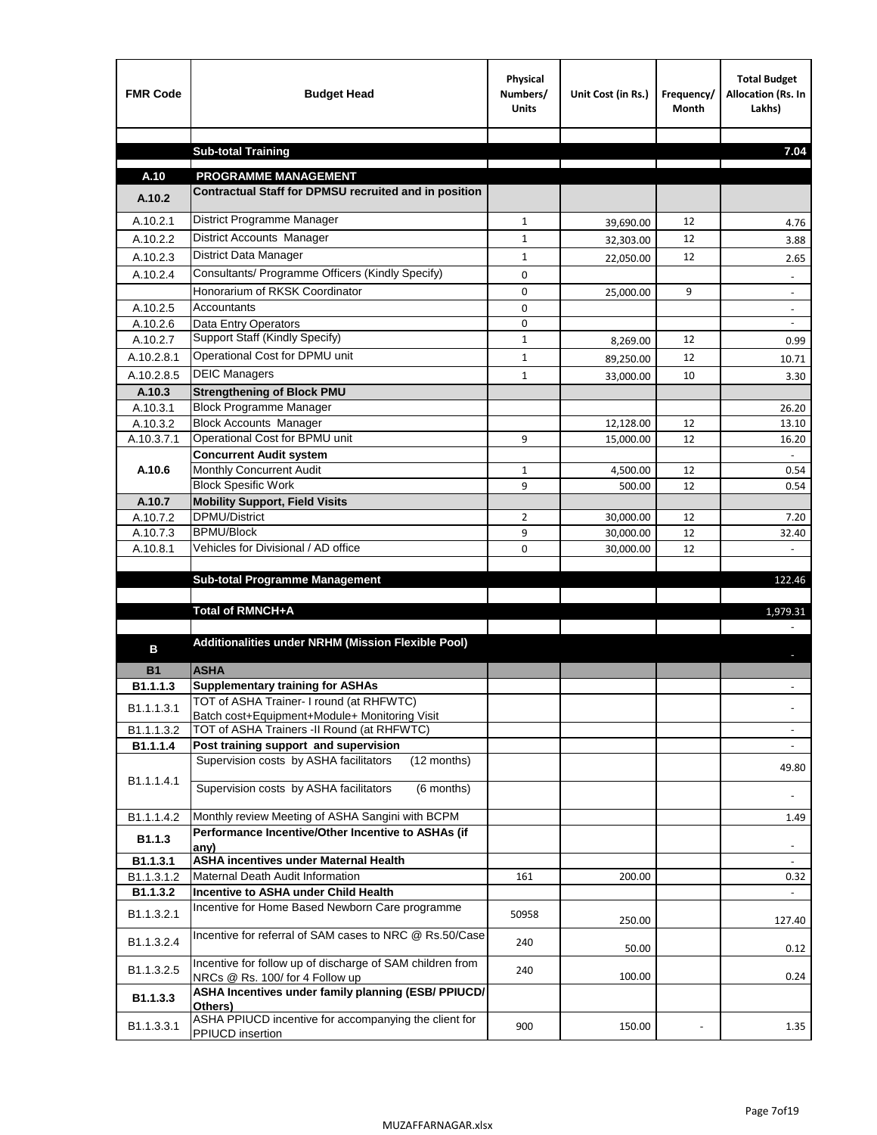| <b>FMR Code</b>    | <b>Budget Head</b>                                                                             | Physical<br>Numbers/<br><b>Units</b> | Unit Cost (in Rs.)     | Frequency/<br><b>Month</b> | <b>Total Budget</b><br>Allocation (Rs. In<br>Lakhs) |
|--------------------|------------------------------------------------------------------------------------------------|--------------------------------------|------------------------|----------------------------|-----------------------------------------------------|
|                    |                                                                                                |                                      |                        |                            |                                                     |
|                    | <b>Sub-total Training</b>                                                                      |                                      |                        |                            | 7.04                                                |
| A.10               | <b>PROGRAMME MANAGEMENT</b>                                                                    |                                      |                        |                            |                                                     |
| A.10.2             | Contractual Staff for DPMSU recruited and in position                                          |                                      |                        |                            |                                                     |
| A.10.2.1           | District Programme Manager                                                                     | $\mathbf{1}$                         | 39,690.00              | 12                         | 4.76                                                |
| A.10.2.2           | District Accounts Manager                                                                      | 1                                    | 32,303.00              | 12                         | 3.88                                                |
| A.10.2.3           | District Data Manager                                                                          | $\mathbf{1}$                         |                        | 12                         |                                                     |
| A.10.2.4           | Consultants/ Programme Officers (Kindly Specify)                                               | $\mathbf 0$                          | 22,050.00              |                            | 2.65                                                |
|                    | Honorarium of RKSK Coordinator                                                                 | 0                                    | 25,000.00              | 9                          | $\overline{\phantom{a}}$                            |
| A.10.2.5           | Accountants                                                                                    | 0                                    |                        |                            |                                                     |
| A.10.2.6           | Data Entry Operators                                                                           | 0                                    |                        |                            | $\overline{\phantom{a}}$                            |
| A.10.2.7           | Support Staff (Kindly Specify)                                                                 | $\mathbf{1}$                         | 8,269.00               | 12                         | 0.99                                                |
| A.10.2.8.1         | Operational Cost for DPMU unit                                                                 | $\mathbf{1}$                         | 89,250.00              | 12                         | 10.71                                               |
| A.10.2.8.5         | <b>DEIC Managers</b>                                                                           | $\mathbf{1}$                         | 33,000.00              | 10                         | 3.30                                                |
| A.10.3             | <b>Strengthening of Block PMU</b>                                                              |                                      |                        |                            |                                                     |
| A.10.3.1           | <b>Block Programme Manager</b>                                                                 |                                      |                        |                            | 26.20                                               |
| A.10.3.2           | <b>Block Accounts Manager</b>                                                                  |                                      | 12,128.00              | 12                         | 13.10                                               |
| A.10.3.7.1         | Operational Cost for BPMU unit                                                                 | 9                                    | 15,000.00              | 12                         | 16.20                                               |
|                    | <b>Concurrent Audit system</b>                                                                 |                                      |                        |                            |                                                     |
| A.10.6             | Monthly Concurrent Audit                                                                       | $\mathbf{1}$                         | 4,500.00               | 12                         | 0.54                                                |
|                    | <b>Block Spesific Work</b>                                                                     | 9                                    | 500.00                 | 12                         | 0.54                                                |
| A.10.7<br>A.10.7.2 | <b>Mobility Support, Field Visits</b><br><b>DPMU/District</b>                                  | 2                                    |                        | 12                         |                                                     |
| A.10.7.3           | <b>BPMU/Block</b>                                                                              | 9                                    | 30,000.00<br>30,000.00 | 12                         | 7.20<br>32.40                                       |
| A.10.8.1           | Vehicles for Divisional / AD office                                                            | 0                                    | 30,000.00              | 12                         |                                                     |
|                    |                                                                                                |                                      |                        |                            |                                                     |
|                    | <b>Sub-total Programme Management</b>                                                          |                                      |                        |                            | 122.46                                              |
|                    |                                                                                                |                                      |                        |                            |                                                     |
|                    | Total of RMNCH+A                                                                               |                                      |                        |                            | 1,979.31                                            |
|                    |                                                                                                |                                      |                        |                            |                                                     |
| в                  | Additionalities under NRHM (Mission Flexible Pool)                                             |                                      |                        |                            |                                                     |
| <b>B1</b>          | <b>ASHA</b>                                                                                    |                                      |                        |                            |                                                     |
| B1.1.1.3           | <b>Supplementary training for ASHAs</b>                                                        |                                      |                        |                            |                                                     |
| B1.1.1.3.1         | TOT of ASHA Trainer- I round (at RHFWTC)                                                       |                                      |                        |                            |                                                     |
|                    | Batch cost+Equipment+Module+ Monitoring Visit                                                  |                                      |                        |                            |                                                     |
| B1.1.1.3.2         | TOT of ASHA Trainers -II Round (at RHFWTC)                                                     |                                      |                        |                            |                                                     |
| B1.1.1.4           | Post training support and supervision<br>Supervision costs by ASHA facilitators<br>(12 months) |                                      |                        |                            | $\sim$                                              |
|                    |                                                                                                |                                      |                        |                            | 49.80                                               |
| B1.1.1.4.1         | Supervision costs by ASHA facilitators<br>(6 months)                                           |                                      |                        |                            |                                                     |
|                    |                                                                                                |                                      |                        |                            |                                                     |
| B1.1.1.4.2         | Monthly review Meeting of ASHA Sangini with BCPM                                               |                                      |                        |                            | 1.49                                                |
| B <sub>1.1.3</sub> | Performance Incentive/Other Incentive to ASHAs (if<br>any)                                     |                                      |                        |                            |                                                     |
| B1.1.3.1           | <b>ASHA incentives under Maternal Health</b>                                                   |                                      |                        |                            |                                                     |
| B1.1.3.1.2         | Maternal Death Audit Information                                                               | 161                                  | 200.00                 |                            | 0.32                                                |
| B1.1.3.2           | Incentive to ASHA under Child Health                                                           |                                      |                        |                            | ÷.                                                  |
| B1.1.3.2.1         | Incentive for Home Based Newborn Care programme                                                | 50958                                | 250.00                 |                            | 127.40                                              |
| B1.1.3.2.4         | Incentive for referral of SAM cases to NRC @ Rs.50/Case                                        | 240                                  | 50.00                  |                            | 0.12                                                |
| B1.1.3.2.5         | Incentive for follow up of discharge of SAM children from<br>NRCs @ Rs. 100/ for 4 Follow up   | 240                                  | 100.00                 |                            | 0.24                                                |
| B1.1.3.3           | ASHA Incentives under family planning (ESB/ PPIUCD/<br>Others)                                 |                                      |                        |                            |                                                     |
| B1.1.3.3.1         | ASHA PPIUCD incentive for accompanying the client for<br>PPIUCD insertion                      | 900                                  | 150.00                 |                            | 1.35                                                |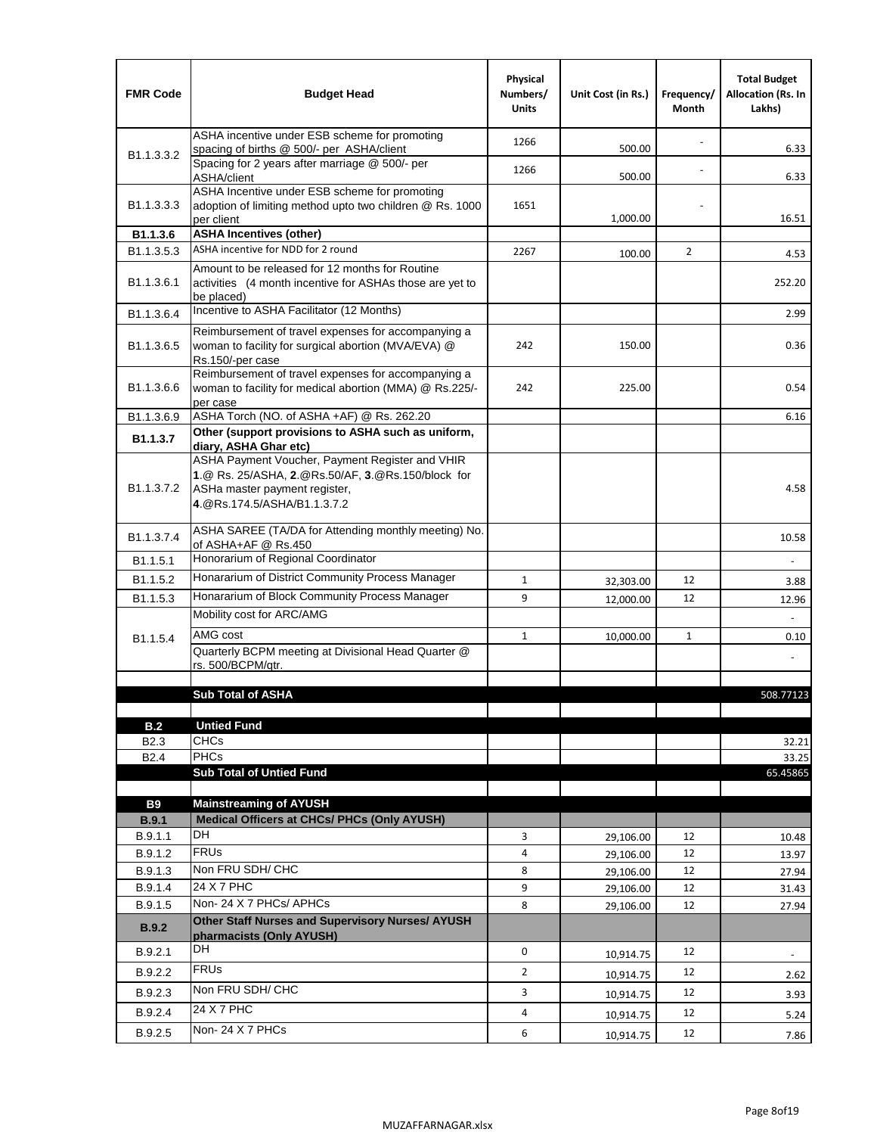| <b>FMR Code</b>            | <b>Budget Head</b>                                                                                                                                                                             | Physical<br>Numbers/<br><b>Units</b> | Unit Cost (in Rs.) | Frequency/<br>Month | <b>Total Budget</b><br><b>Allocation (Rs. In</b><br>Lakhs) |
|----------------------------|------------------------------------------------------------------------------------------------------------------------------------------------------------------------------------------------|--------------------------------------|--------------------|---------------------|------------------------------------------------------------|
|                            | ASHA incentive under ESB scheme for promoting<br>spacing of births @ 500/- per ASHA/client                                                                                                     | 1266                                 | 500.00             |                     | 6.33                                                       |
| B <sub>1.1</sub> , 3, 3, 2 | Spacing for 2 years after marriage @ 500/- per<br>ASHA/client                                                                                                                                  | 1266                                 | 500.00             |                     | 6.33                                                       |
| B1.1.3.3.3                 | ASHA Incentive under ESB scheme for promoting<br>adoption of limiting method upto two children @ Rs. 1000<br>per client                                                                        | 1651                                 | 1,000.00           |                     | 16.51                                                      |
| B1.1.3.6                   | <b>ASHA Incentives (other)</b>                                                                                                                                                                 |                                      |                    |                     |                                                            |
| B <sub>1.1</sub> , 3, 5, 3 | ASHA incentive for NDD for 2 round                                                                                                                                                             | 2267                                 | 100.00             | $\overline{2}$      | 4.53                                                       |
| B <sub>1.1</sub> .3.6.1    | Amount to be released for 12 months for Routine<br>activities (4 month incentive for ASHAs those are yet to<br>be placed)                                                                      |                                      |                    |                     | 252.20                                                     |
| B <sub>1.1</sub> .3.6.4    | Incentive to ASHA Facilitator (12 Months)                                                                                                                                                      |                                      |                    |                     | 2.99                                                       |
| B <sub>1.1</sub> .3.6.5    | Reimbursement of travel expenses for accompanying a<br>woman to facility for surgical abortion (MVA/EVA) @<br>Rs.150/-per case                                                                 | 242                                  | 150.00             |                     | 0.36                                                       |
| B <sub>1.1</sub> .3.6.6    | Reimbursement of travel expenses for accompanying a<br>woman to facility for medical abortion (MMA) @ Rs.225/-<br>per case                                                                     | 242                                  | 225.00             |                     | 0.54                                                       |
| B1.1.3.6.9                 | ASHA Torch (NO. of ASHA +AF) @ Rs. 262.20                                                                                                                                                      |                                      |                    |                     | 6.16                                                       |
| B1.1.3.7                   | Other (support provisions to ASHA such as uniform,                                                                                                                                             |                                      |                    |                     |                                                            |
| B <sub>1.1</sub> .3.7.2    | diary, ASHA Ghar etc)<br>ASHA Payment Voucher, Payment Register and VHIR<br>1.@ Rs. 25/ASHA, 2.@Rs.50/AF, 3.@Rs.150/block for<br>ASHa master payment register,<br>4. @Rs.174.5/ASHA/B1.1.3.7.2 |                                      |                    |                     | 4.58                                                       |
| B <sub>1.1</sub> , 3, 7, 4 | ASHA SAREE (TA/DA for Attending monthly meeting) No.<br>of ASHA+AF @ Rs.450                                                                                                                    |                                      |                    |                     | 10.58                                                      |
| B <sub>1.1</sub> .5.1      | Honorarium of Regional Coordinator                                                                                                                                                             |                                      |                    |                     |                                                            |
| B <sub>1.1.5.2</sub>       | Honararium of District Community Process Manager                                                                                                                                               | $\mathbf{1}$                         | 32,303.00          | 12                  | 3.88                                                       |
| B1.1.5.3                   | Honararium of Block Community Process Manager                                                                                                                                                  | 9                                    | 12,000.00          | 12                  | 12.96                                                      |
|                            | Mobility cost for ARC/AMG                                                                                                                                                                      |                                      |                    |                     |                                                            |
| B <sub>1.1.5.4</sub>       | AMG cost                                                                                                                                                                                       | $\mathbf{1}$                         | 10,000.00          | $\mathbf{1}$        | 0.10                                                       |
|                            | Quarterly BCPM meeting at Divisional Head Quarter @                                                                                                                                            |                                      |                    |                     |                                                            |
|                            | rs. 500/BCPM/qtr.                                                                                                                                                                              |                                      |                    |                     |                                                            |
|                            | <b>Sub Total of ASHA</b>                                                                                                                                                                       |                                      |                    |                     | 508.77123                                                  |
|                            |                                                                                                                                                                                                |                                      |                    |                     |                                                            |
| B.2                        | <b>Untied Fund</b>                                                                                                                                                                             |                                      |                    |                     |                                                            |
| B <sub>2.3</sub>           | <b>CHCs</b>                                                                                                                                                                                    |                                      |                    |                     | 32.21                                                      |
| B <sub>2.4</sub>           | PHCs                                                                                                                                                                                           |                                      |                    |                     | 33.25                                                      |
|                            | <b>Sub Total of Untied Fund</b>                                                                                                                                                                |                                      |                    |                     | 65.45865                                                   |
| <b>B9</b>                  | <b>Mainstreaming of AYUSH</b>                                                                                                                                                                  |                                      |                    |                     |                                                            |
| B.9.1                      | Medical Officers at CHCs/ PHCs (Only AYUSH)                                                                                                                                                    |                                      |                    |                     |                                                            |
| B.9.1.1                    | <b>DH</b>                                                                                                                                                                                      | 3                                    | 29,106.00          | 12                  | 10.48                                                      |
| B.9.1.2                    | <b>FRUs</b>                                                                                                                                                                                    | 4                                    | 29,106.00          | 12                  | 13.97                                                      |
| B.9.1.3                    | Non FRU SDH/ CHC                                                                                                                                                                               | 8                                    | 29,106.00          | 12                  | 27.94                                                      |
| B.9.1.4                    | 24 X 7 PHC                                                                                                                                                                                     | 9                                    | 29,106.00          | 12                  | 31.43                                                      |
| B.9.1.5                    | Non-24 X 7 PHCs/ APHCs                                                                                                                                                                         | 8                                    | 29,106.00          | 12                  | 27.94                                                      |
| B.9.2                      | Other Staff Nurses and Supervisory Nurses/ AYUSH<br>pharmacists (Only AYUSH)                                                                                                                   |                                      |                    |                     |                                                            |
| B.9.2.1                    | DH                                                                                                                                                                                             | 0                                    | 10,914.75          | 12                  | $\overline{\phantom{a}}$                                   |
| B.9.2.2                    | <b>FRUs</b>                                                                                                                                                                                    | $\overline{2}$                       | 10,914.75          | 12                  | 2.62                                                       |
| B.9.2.3                    | Non FRU SDH/ CHC                                                                                                                                                                               | 3                                    | 10,914.75          | 12                  | 3.93                                                       |
| B.9.2.4                    | 24 X 7 PHC                                                                                                                                                                                     | 4                                    |                    | 12                  | 5.24                                                       |
|                            | Non-24 X 7 PHCs                                                                                                                                                                                |                                      | 10,914.75          |                     |                                                            |
| B.9.2.5                    |                                                                                                                                                                                                | 6                                    | 10,914.75          | 12                  | 7.86                                                       |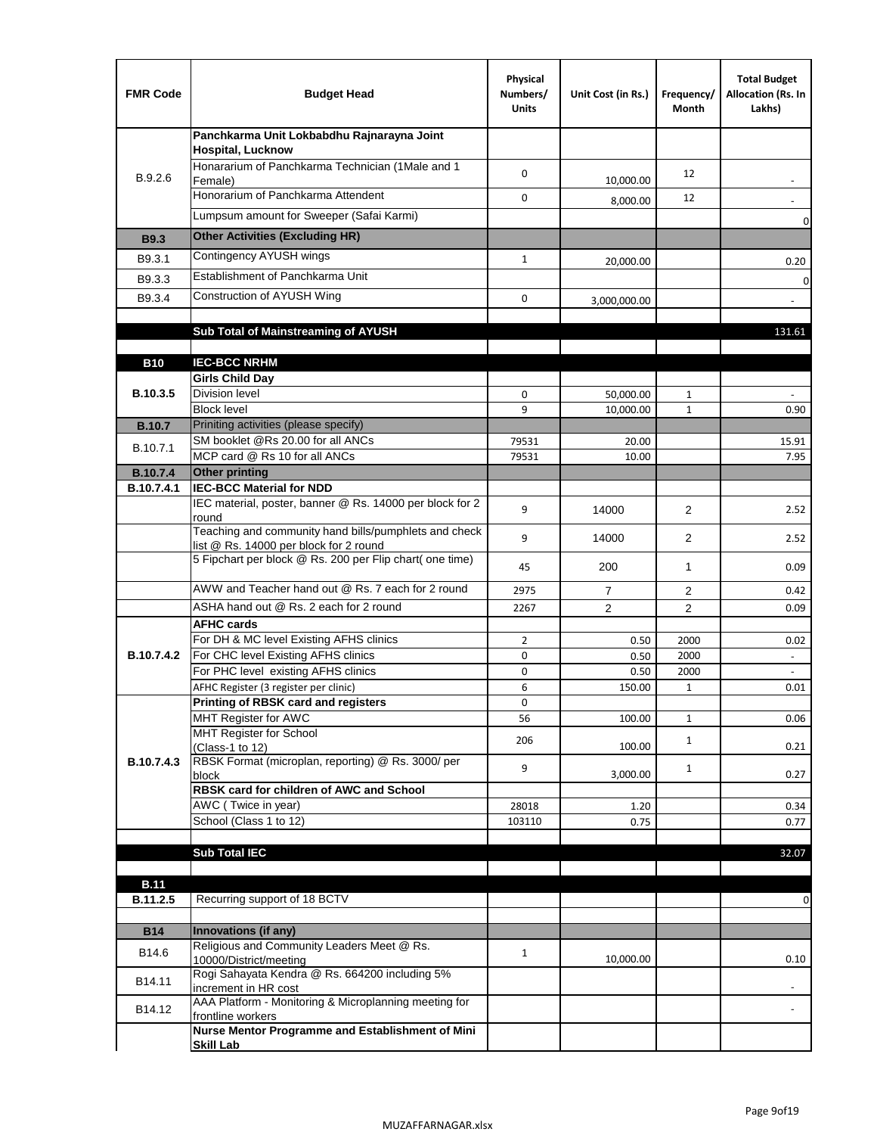| <b>FMR Code</b>               | <b>Budget Head</b>                                                                              | Physical<br>Numbers/<br><b>Units</b> | Unit Cost (in Rs.) | Frequency/<br>Month | <b>Total Budget</b><br>Allocation (Rs. In<br>Lakhs) |
|-------------------------------|-------------------------------------------------------------------------------------------------|--------------------------------------|--------------------|---------------------|-----------------------------------------------------|
|                               | Panchkarma Unit Lokbabdhu Rajnarayna Joint<br><b>Hospital, Lucknow</b>                          |                                      |                    |                     |                                                     |
| B.9.2.6                       | Honararium of Panchkarma Technician (1Male and 1<br>Female)                                     | $\Omega$                             | 10,000.00          | 12                  |                                                     |
|                               | Honorarium of Panchkarma Attendent                                                              | 0                                    | 8,000.00           | 12                  |                                                     |
|                               | Lumpsum amount for Sweeper (Safai Karmi)                                                        |                                      |                    |                     | 0                                                   |
| <b>B9.3</b>                   | <b>Other Activities (Excluding HR)</b>                                                          |                                      |                    |                     |                                                     |
| B9.3.1                        | Contingency AYUSH wings                                                                         | $\mathbf{1}$                         | 20,000.00          |                     | 0.20                                                |
| B9.3.3                        | Establishment of Panchkarma Unit                                                                |                                      |                    |                     | 0                                                   |
| B9.3.4                        | Construction of AYUSH Wing                                                                      | 0                                    | 3,000,000.00       |                     |                                                     |
|                               |                                                                                                 |                                      |                    |                     |                                                     |
|                               | Sub Total of Mainstreaming of AYUSH                                                             |                                      |                    |                     | 131.61                                              |
|                               |                                                                                                 |                                      |                    |                     |                                                     |
| <b>B10</b>                    | <b>IEC-BCC NRHM</b><br><b>Girls Child Day</b>                                                   |                                      |                    |                     |                                                     |
| B.10.3.5                      | <b>Division level</b>                                                                           | $\mathbf 0$                          | 50,000.00          | 1                   |                                                     |
|                               | <b>Block level</b>                                                                              | 9                                    | 10.000.00          | $\mathbf{1}$        | 0.90                                                |
| <b>B.10.7</b>                 | Priniting activities (please specify)                                                           |                                      |                    |                     |                                                     |
| B.10.7.1                      | SM booklet @Rs 20.00 for all ANCs                                                               | 79531                                | 20.00              |                     | 15.91                                               |
|                               | MCP card @ Rs 10 for all ANCs<br><b>Other printing</b>                                          | 79531                                | 10.00              |                     | 7.95                                                |
| <b>B.10.7.4</b><br>B.10.7.4.1 | <b>IEC-BCC Material for NDD</b>                                                                 |                                      |                    |                     |                                                     |
|                               | IEC material, poster, banner @ Rs. 14000 per block for 2<br>round                               | 9                                    | 14000              | $\overline{2}$      | 2.52                                                |
|                               | Teaching and community hand bills/pumphlets and check<br>list @ Rs. 14000 per block for 2 round | 9                                    | 14000              | $\overline{2}$      | 2.52                                                |
|                               | 5 Fipchart per block @ Rs. 200 per Flip chart( one time)                                        | 45                                   | 200                | $\mathbf{1}$        | 0.09                                                |
|                               | AWW and Teacher hand out @ Rs. 7 each for 2 round                                               | 2975                                 | $\overline{7}$     | 2                   | 0.42                                                |
|                               | ASHA hand out @ Rs. 2 each for 2 round                                                          | 2267                                 | 2                  | $\overline{2}$      | 0.09                                                |
|                               | <b>AFHC cards</b>                                                                               |                                      |                    |                     |                                                     |
|                               | For DH & MC level Existing AFHS clinics                                                         | $\overline{2}$                       | 0.50               | 2000                | 0.02                                                |
| B.10.7.4.2                    | For CHC level Existing AFHS clinics<br>For PHC level existing AFHS clinics                      | 0<br>0                               | 0.50<br>0.50       | 2000<br>2000        | $\frac{1}{2}$<br>$\blacksquare$                     |
|                               | AFHC Register (3 register per clinic)                                                           | 6                                    | 150.00             | 1                   | 0.01                                                |
|                               | Printing of RBSK card and registers                                                             | 0                                    |                    |                     |                                                     |
|                               | MHT Register for AWC                                                                            | 56                                   | 100.00             | $\mathbf{1}$        | 0.06                                                |
|                               | MHT Register for School<br>(Class-1 to 12)                                                      | 206                                  | 100.00             | $\mathbf{1}$        | 0.21                                                |
| B.10.7.4.3                    | RBSK Format (microplan, reporting) @ Rs. 3000/ per<br>block                                     | 9                                    | 3,000.00           | $\mathbf{1}$        | 0.27                                                |
|                               | RBSK card for children of AWC and School                                                        |                                      |                    |                     |                                                     |
|                               | AWC (Twice in year)                                                                             | 28018                                | 1.20               |                     | 0.34                                                |
|                               | School (Class 1 to 12)                                                                          | 103110                               | 0.75               |                     | 0.77                                                |
|                               |                                                                                                 |                                      |                    |                     |                                                     |
|                               | <b>Sub Total IEC</b>                                                                            |                                      |                    |                     | 32.07                                               |
| <b>B.11</b>                   |                                                                                                 |                                      |                    |                     |                                                     |
| B.11.2.5                      | Recurring support of 18 BCTV                                                                    |                                      |                    |                     | 0                                                   |
|                               |                                                                                                 |                                      |                    |                     |                                                     |
| <b>B14</b>                    | Innovations (if any)<br>Religious and Community Leaders Meet @ Rs.                              |                                      |                    |                     |                                                     |
| B14.6                         | 10000/District/meeting                                                                          | $\mathbf{1}$                         | 10,000.00          |                     | 0.10                                                |
| B14.11                        | Rogi Sahayata Kendra @ Rs. 664200 including 5%<br>increment in HR cost                          |                                      |                    |                     |                                                     |
| B14.12                        | AAA Platform - Monitoring & Microplanning meeting for<br>frontline workers                      |                                      |                    |                     |                                                     |
|                               | Nurse Mentor Programme and Establishment of Mini<br><b>Skill Lab</b>                            |                                      |                    |                     |                                                     |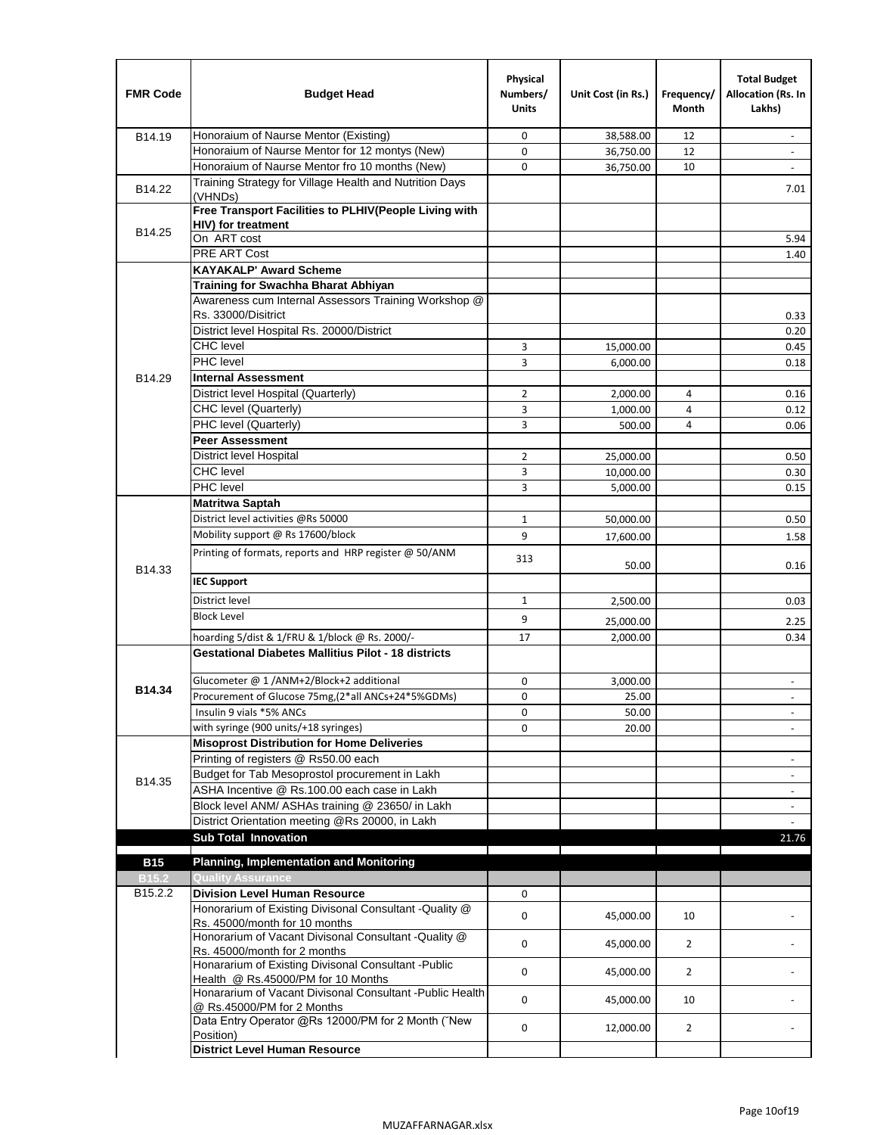| <b>FMR Code</b>   | <b>Budget Head</b>                                                                      | Physical<br>Numbers/<br><b>Units</b> | Unit Cost (in Rs.) | Frequency/<br>Month | <b>Total Budget</b><br>Allocation (Rs. In<br>Lakhs) |
|-------------------|-----------------------------------------------------------------------------------------|--------------------------------------|--------------------|---------------------|-----------------------------------------------------|
| B14.19            | Honoraium of Naurse Mentor (Existing)                                                   | 0                                    | 38,588.00          | 12                  | $\overline{\phantom{a}}$                            |
|                   | Honoraium of Naurse Mentor for 12 montys (New)                                          | 0                                    | 36,750.00          | 12                  |                                                     |
|                   | Honoraium of Naurse Mentor fro 10 months (New)                                          | 0                                    | 36,750.00          | 10                  | $\overline{\phantom{a}}$                            |
| B14.22            | Training Strategy for Village Health and Nutrition Days<br>(VHNDs)                      |                                      |                    |                     | 7.01                                                |
|                   | Free Transport Facilities to PLHIV(People Living with                                   |                                      |                    |                     |                                                     |
| B14.25            | HIV) for treatment                                                                      |                                      |                    |                     |                                                     |
|                   | On ART cost                                                                             |                                      |                    |                     | 5.94                                                |
|                   | PRE ART Cost                                                                            |                                      |                    |                     | 1.40                                                |
|                   | <b>KAYAKALP' Award Scheme</b>                                                           |                                      |                    |                     |                                                     |
|                   | Training for Swachha Bharat Abhiyan                                                     |                                      |                    |                     |                                                     |
|                   | Awareness cum Internal Assessors Training Workshop @                                    |                                      |                    |                     |                                                     |
|                   | Rs. 33000/Disitrict                                                                     |                                      |                    |                     | 0.33                                                |
|                   | District level Hospital Rs. 20000/District                                              |                                      |                    |                     | 0.20                                                |
|                   | <b>CHC</b> level                                                                        | 3                                    | 15,000.00          |                     | 0.45                                                |
|                   | PHC level                                                                               | 3                                    | 6,000.00           |                     | 0.18                                                |
| B14.29            | <b>Internal Assessment</b>                                                              |                                      |                    |                     |                                                     |
|                   | District level Hospital (Quarterly)                                                     | 2                                    | 2,000.00           | 4                   | 0.16                                                |
|                   | CHC level (Quarterly)                                                                   | 3                                    | 1,000.00           | $\overline{4}$      | 0.12                                                |
|                   | PHC level (Quarterly)                                                                   | 3                                    | 500.00             | 4                   | 0.06                                                |
|                   | <b>Peer Assessment</b>                                                                  |                                      |                    |                     |                                                     |
|                   | District level Hospital                                                                 | $\overline{2}$                       | 25,000.00          |                     | 0.50                                                |
|                   | <b>CHC</b> level                                                                        | 3                                    | 10,000.00          |                     | 0.30                                                |
|                   | PHC level                                                                               | 3                                    | 5,000.00           |                     | 0.15                                                |
|                   | <b>Matritwa Saptah</b>                                                                  |                                      |                    |                     |                                                     |
|                   | District level activities @Rs 50000                                                     | $\mathbf{1}$                         | 50,000.00          |                     | 0.50                                                |
|                   | Mobility support @ Rs 17600/block                                                       | 9                                    | 17,600.00          |                     | 1.58                                                |
| B14.33            | Printing of formats, reports and HRP register @ 50/ANM                                  | 313                                  | 50.00              |                     | 0.16                                                |
|                   | <b>IEC Support</b>                                                                      |                                      |                    |                     |                                                     |
|                   | District level                                                                          | $\mathbf{1}$                         | 2,500.00           |                     | 0.03                                                |
|                   | <b>Block Level</b>                                                                      | 9                                    | 25,000.00          |                     | 2.25                                                |
|                   | hoarding 5/dist & 1/FRU & 1/block @ Rs. 2000/-                                          | 17                                   | 2,000.00           |                     | 0.34                                                |
|                   | <b>Gestational Diabetes Mallitius Pilot - 18 districts</b>                              |                                      |                    |                     |                                                     |
|                   | Glucometer @ 1 /ANM+2/Block+2 additional                                                | 0                                    | 3,000.00           |                     | $\overline{\phantom{a}}$                            |
| B14.34            | Procurement of Glucose 75mg, (2*all ANCs+24*5%GDMs)                                     | 0                                    | 25.00              |                     |                                                     |
|                   | Insulin 9 vials *5% ANCs                                                                | 0                                    | 50.00              |                     | $\blacksquare$                                      |
|                   | with syringe (900 units/+18 syringes)                                                   | 0                                    | 20.00              |                     |                                                     |
|                   | <b>Misoprost Distribution for Home Deliveries</b>                                       |                                      |                    |                     |                                                     |
|                   | Printing of registers @ Rs50.00 each                                                    |                                      |                    |                     | $\overline{\phantom{a}}$                            |
|                   | Budget for Tab Mesoprostol procurement in Lakh                                          |                                      |                    |                     | $\overline{\phantom{a}}$                            |
| B14.35            | ASHA Incentive @ Rs.100.00 each case in Lakh                                            |                                      |                    |                     | $\overline{\phantom{a}}$                            |
|                   | Block level ANM/ ASHAs training @ 23650/ in Lakh                                        |                                      |                    |                     | $\blacksquare$                                      |
|                   | District Orientation meeting @Rs 20000, in Lakh                                         |                                      |                    |                     |                                                     |
|                   | <b>Sub Total Innovation</b>                                                             |                                      |                    |                     | 21.76                                               |
| <b>B15</b>        | <b>Planning, Implementation and Monitoring</b>                                          |                                      |                    |                     |                                                     |
| B <sub>15.2</sub> | <b>Quality Assurance</b>                                                                |                                      |                    |                     |                                                     |
| B15.2.2           | <b>Division Level Human Resource</b>                                                    | 0                                    |                    |                     |                                                     |
|                   | Honorarium of Existing Divisonal Consultant -Quality @                                  |                                      |                    |                     |                                                     |
|                   | Rs. 45000/month for 10 months                                                           | 0                                    | 45,000.00          | 10                  |                                                     |
|                   | Honorarium of Vacant Divisonal Consultant -Quality @<br>Rs. 45000/month for 2 months    | 0                                    | 45,000.00          | $\overline{2}$      |                                                     |
|                   | Honararium of Existing Divisonal Consultant - Public                                    | 0                                    |                    | $\overline{2}$      |                                                     |
|                   | Health @ Rs.45000/PM for 10 Months                                                      |                                      | 45,000.00          |                     |                                                     |
|                   | Honararium of Vacant Divisonal Consultant - Public Health<br>@ Rs.45000/PM for 2 Months | 0                                    | 45,000.00          | 10                  |                                                     |
|                   | Data Entry Operator @Rs 12000/PM for 2 Month ("New<br>Position)                         | 0                                    | 12,000.00          | $\overline{2}$      |                                                     |
|                   | <b>District Level Human Resource</b>                                                    |                                      |                    |                     |                                                     |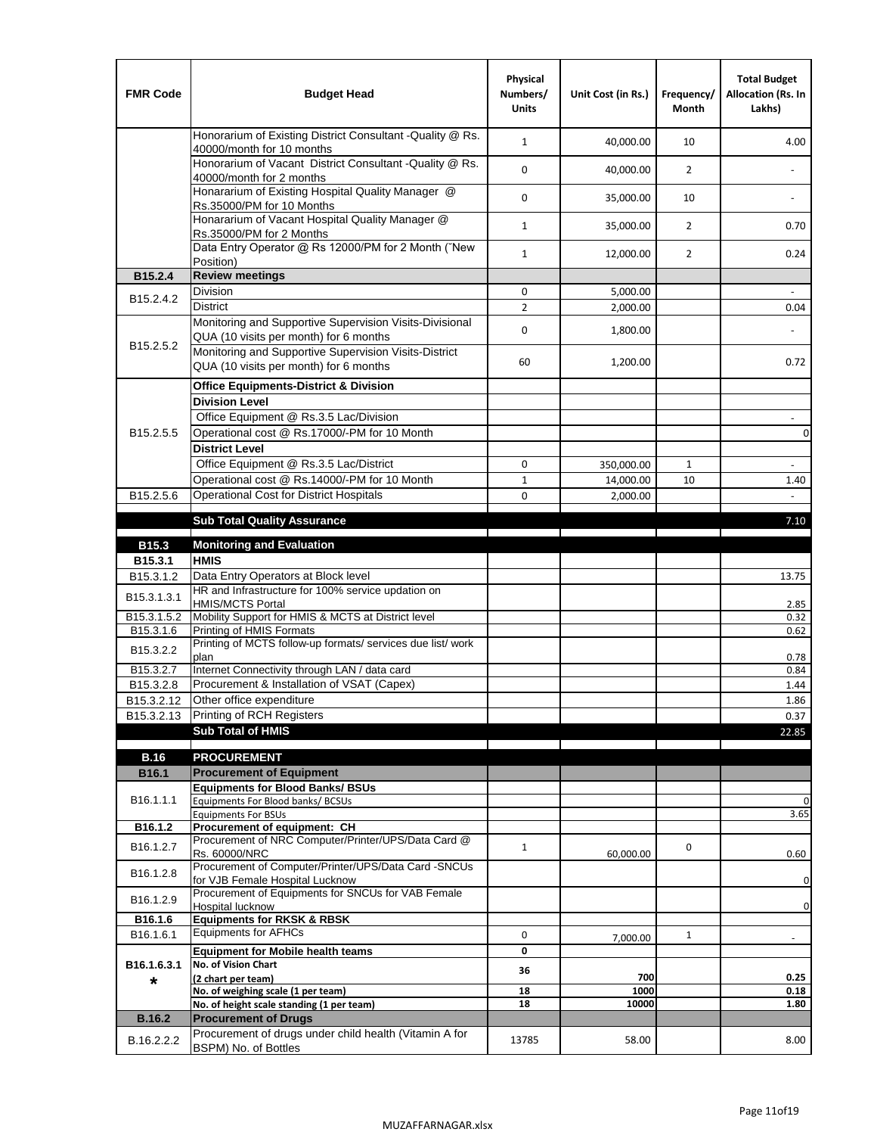| <b>FMR Code</b>         | <b>Budget Head</b>                                                                                | Physical<br>Numbers/<br><b>Units</b> | Unit Cost (in Rs.) | Frequency/<br><b>Month</b> | <b>Total Budget</b><br>Allocation (Rs. In<br>Lakhs) |
|-------------------------|---------------------------------------------------------------------------------------------------|--------------------------------------|--------------------|----------------------------|-----------------------------------------------------|
|                         | Honorarium of Existing District Consultant -Quality @ Rs.<br>40000/month for 10 months            | $\mathbf{1}$                         | 40,000.00          | 10                         | 4.00                                                |
|                         | Honorarium of Vacant District Consultant -Quality @ Rs.<br>40000/month for 2 months               | $\mathbf 0$                          | 40,000.00          | $\overline{2}$             | $\ddot{\phantom{a}}$                                |
|                         | Honararium of Existing Hospital Quality Manager @<br>Rs.35000/PM for 10 Months                    | 0                                    | 35,000.00          | 10                         |                                                     |
|                         | Honararium of Vacant Hospital Quality Manager @<br>Rs.35000/PM for 2 Months                       | $\mathbf{1}$                         | 35,000.00          | $\overline{2}$             | 0.70                                                |
|                         | Data Entry Operator @ Rs 12000/PM for 2 Month ("New<br>Position)                                  | $\mathbf{1}$                         | 12,000.00          | $\overline{2}$             | 0.24                                                |
| B15.2.4                 | <b>Review meetings</b>                                                                            |                                      |                    |                            |                                                     |
| B <sub>15.2</sub> .4.2  | Division                                                                                          | 0                                    | 5,000.00           |                            |                                                     |
|                         | <b>District</b>                                                                                   | $\overline{2}$                       | 2,000.00           |                            | 0.04                                                |
|                         | Monitoring and Supportive Supervision Visits-Divisional<br>QUA (10 visits per month) for 6 months | $\mathbf 0$                          | 1,800.00           |                            |                                                     |
| B15.2.5.2               | Monitoring and Supportive Supervision Visits-District<br>QUA (10 visits per month) for 6 months   | 60                                   | 1,200.00           |                            | 0.72                                                |
|                         | <b>Office Equipments-District &amp; Division</b>                                                  |                                      |                    |                            |                                                     |
|                         | <b>Division Level</b>                                                                             |                                      |                    |                            |                                                     |
|                         | Office Equipment @ Rs.3.5 Lac/Division                                                            |                                      |                    |                            | $\sim$                                              |
| B15.2.5.5               | Operational cost @ Rs.17000/-PM for 10 Month                                                      |                                      |                    |                            | $\pmb{0}$                                           |
|                         | <b>District Level</b>                                                                             |                                      |                    |                            |                                                     |
|                         | Office Equipment @ Rs.3.5 Lac/District                                                            | 0                                    | 350,000.00         | 1                          | $\blacksquare$                                      |
|                         | Operational cost @ Rs.14000/-PM for 10 Month                                                      | $1\,$                                | 14,000.00          | 10                         | 1.40                                                |
| B15.2.5.6               | <b>Operational Cost for District Hospitals</b>                                                    | 0                                    | 2,000.00           |                            | $\mathbf{r}$                                        |
|                         | <b>Sub Total Quality Assurance</b>                                                                |                                      |                    |                            | 7.10                                                |
|                         |                                                                                                   |                                      |                    |                            |                                                     |
| B15.3                   | <b>Monitoring and Evaluation</b><br><b>HMIS</b>                                                   |                                      |                    |                            |                                                     |
| B15.3.1<br>B15.3.1.2    | Data Entry Operators at Block level                                                               |                                      |                    |                            |                                                     |
|                         | HR and Infrastructure for 100% service updation on                                                |                                      |                    |                            | 13.75                                               |
| B15.3.1.3.1             | <b>HMIS/MCTS Portal</b>                                                                           |                                      |                    |                            | 2.85                                                |
| B <sub>15.3.1.5.2</sub> | Mobility Support for HMIS & MCTS at District level                                                |                                      |                    |                            | 0.32                                                |
| B15.3.1.6               | Printing of HMIS Formats<br>Printing of MCTS follow-up formats/ services due list/ work           |                                      |                    |                            | 0.62                                                |
| B15.3.2.2               | plan                                                                                              |                                      |                    |                            | 0.78                                                |
| B15.3.2.7               | Internet Connectivity through LAN / data card                                                     |                                      |                    |                            | 0.84                                                |
| B15.3.2.8               | Procurement & Installation of VSAT (Capex)                                                        |                                      |                    |                            | 1.44                                                |
| B15.3.2.12              | Other office expenditure                                                                          |                                      |                    |                            | 1.86                                                |
| B15.3.2.13              | Printing of RCH Registers                                                                         |                                      |                    |                            | 0.37                                                |
|                         | <b>Sub Total of HMIS</b>                                                                          |                                      |                    |                            | 22.85                                               |
| <b>B.16</b>             | <b>PROCUREMENT</b>                                                                                |                                      |                    |                            |                                                     |
| B16.1                   | <b>Procurement of Equipment</b>                                                                   |                                      |                    |                            |                                                     |
|                         | <b>Equipments for Blood Banks/ BSUs</b>                                                           |                                      |                    |                            |                                                     |
| B16.1.1.1               | Equipments For Blood banks/ BCSUs                                                                 |                                      |                    |                            | 0                                                   |
| B16.1.2                 | <b>Equipments For BSUs</b>                                                                        |                                      |                    |                            | 3.65                                                |
|                         | Procurement of equipment: CH<br>Procurement of NRC Computer/Printer/UPS/Data Card @               |                                      |                    |                            |                                                     |
| B16.1.2.7               | Rs. 60000/NRC                                                                                     | $\mathbf{1}$                         | 60,000.00          | 0                          | 0.60                                                |
| B16.1.2.8               | Procurement of Computer/Printer/UPS/Data Card -SNCUs                                              |                                      |                    |                            |                                                     |
|                         | for VJB Female Hospital Lucknow                                                                   |                                      |                    |                            | 0                                                   |
| B16.1.2.9               | Procurement of Equipments for SNCUs for VAB Female<br>Hospital lucknow                            |                                      |                    |                            | 0                                                   |
| B16.1.6                 | <b>Equipments for RKSK &amp; RBSK</b>                                                             |                                      |                    |                            |                                                     |
| B16.1.6.1               | <b>Equipments for AFHCs</b>                                                                       | 0                                    | 7,000.00           | $\mathbf{1}$               | ÷,                                                  |
|                         | <b>Equipment for Mobile health teams</b>                                                          | 0                                    |                    |                            |                                                     |
| B16.1.6.3.1             | No. of Vision Chart                                                                               | 36                                   |                    |                            |                                                     |
| *                       | (2 chart per team)<br>No. of weighing scale (1 per team)                                          | 18                                   | 700<br>1000        |                            | 0.25<br>0.18                                        |
|                         | No. of height scale standing (1 per team)                                                         | 18                                   | 10000              |                            | 1.80                                                |
| <b>B.16.2</b>           | <b>Procurement of Drugs</b>                                                                       |                                      |                    |                            |                                                     |
| B.16.2.2.2              | Procurement of drugs under child health (Vitamin A for                                            | 13785                                | 58.00              |                            | 8.00                                                |
|                         | BSPM) No. of Bottles                                                                              |                                      |                    |                            |                                                     |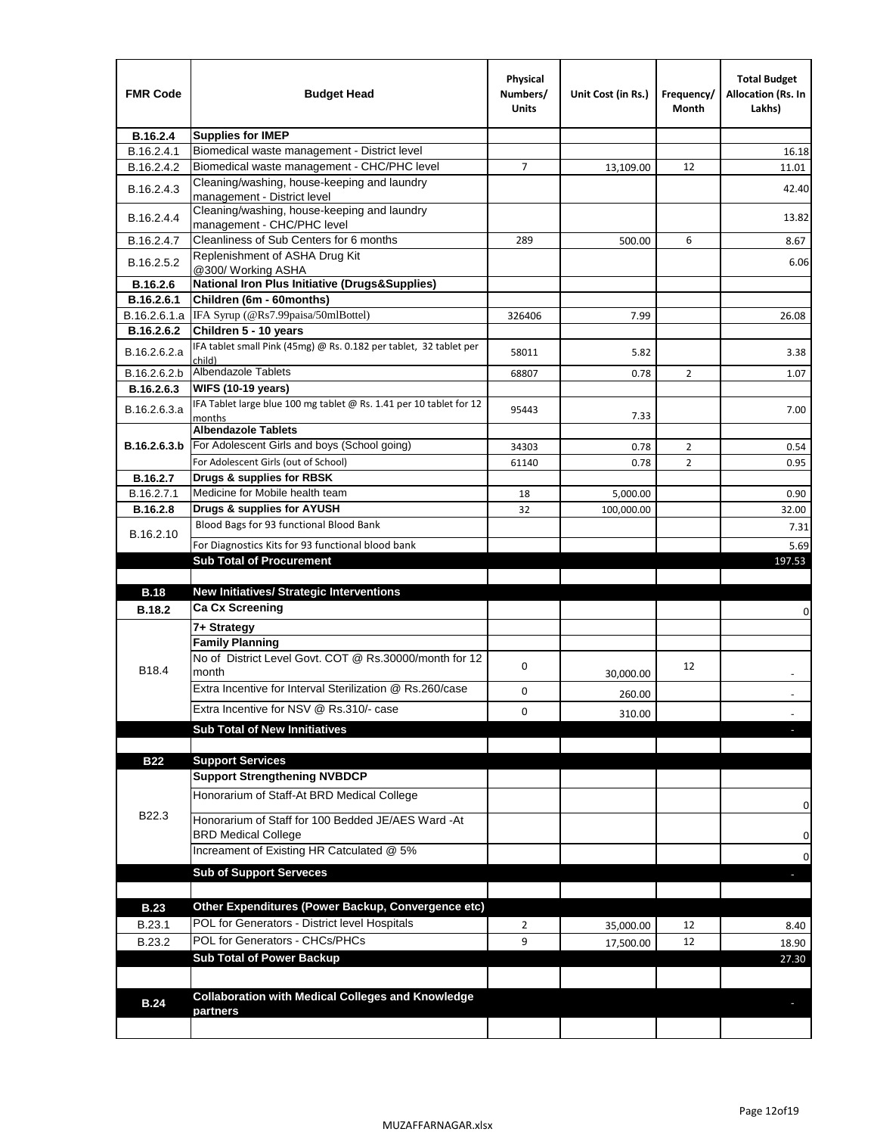| <b>FMR Code</b> | <b>Budget Head</b>                                                            | Physical<br>Numbers/<br><b>Units</b> | Unit Cost (in Rs.) | Frequency/<br>Month | <b>Total Budget</b><br>Allocation (Rs. In<br>Lakhs) |
|-----------------|-------------------------------------------------------------------------------|--------------------------------------|--------------------|---------------------|-----------------------------------------------------|
| B.16.2.4        | <b>Supplies for IMEP</b>                                                      |                                      |                    |                     |                                                     |
| B.16.2.4.1      | Biomedical waste management - District level                                  |                                      |                    |                     | 16.18                                               |
| B.16.2.4.2      | Biomedical waste management - CHC/PHC level                                   | 7                                    | 13,109.00          | 12                  | 11.01                                               |
| B.16.2.4.3      | Cleaning/washing, house-keeping and laundry<br>management - District level    |                                      |                    |                     | 42.40                                               |
| B.16.2.4.4      | Cleaning/washing, house-keeping and laundry<br>management - CHC/PHC level     |                                      |                    |                     | 13.82                                               |
| B.16.2.4.7      | Cleanliness of Sub Centers for 6 months                                       | 289                                  | 500.00             | 6                   | 8.67                                                |
| B.16.2.5.2      | Replenishment of ASHA Drug Kit<br>@300/ Working ASHA                          |                                      |                    |                     | 6.06                                                |
| B.16.2.6        | <b>National Iron Plus Initiative (Drugs&amp;Supplies)</b>                     |                                      |                    |                     |                                                     |
| B.16.2.6.1      | Children (6m - 60months)                                                      |                                      |                    |                     |                                                     |
| B.16.2.6.1.a    | IFA Syrup (@Rs7.99paisa/50mlBottel)                                           | 326406                               | 7.99               |                     | 26.08                                               |
| B.16.2.6.2      | Children 5 - 10 years                                                         |                                      |                    |                     |                                                     |
| B.16.2.6.2.a    | IFA tablet small Pink (45mg) @ Rs. 0.182 per tablet, 32 tablet per<br>child)  | 58011                                | 5.82               |                     | 3.38                                                |
| B.16.2.6.2.b    | <b>Albendazole Tablets</b>                                                    | 68807                                | 0.78               | 2                   | 1.07                                                |
| B.16.2.6.3      | <b>WIFS (10-19 years)</b>                                                     |                                      |                    |                     |                                                     |
| B.16.2.6.3.a    | IFA Tablet large blue 100 mg tablet @ Rs. 1.41 per 10 tablet for 12<br>months | 95443                                | 7.33               |                     | 7.00                                                |
|                 | <b>Albendazole Tablets</b>                                                    |                                      |                    |                     |                                                     |
| B.16.2.6.3.b    | For Adolescent Girls and boys (School going)                                  | 34303                                | 0.78               | $\overline{2}$      | 0.54                                                |
|                 | For Adolescent Girls (out of School)                                          | 61140                                | 0.78               | $\overline{2}$      | 0.95                                                |
| B.16.2.7        | Drugs & supplies for RBSK                                                     |                                      |                    |                     |                                                     |
| B.16.2.7.1      | Medicine for Mobile health team                                               | 18                                   | 5,000.00           |                     | 0.90                                                |
| <b>B.16.2.8</b> | Drugs & supplies for AYUSH                                                    | 32                                   | 100,000.00         |                     | 32.00                                               |
| B.16.2.10       | Blood Bags for 93 functional Blood Bank                                       |                                      |                    |                     | 7.31                                                |
|                 | For Diagnostics Kits for 93 functional blood bank                             |                                      |                    |                     | 5.69                                                |
|                 | <b>Sub Total of Procurement</b>                                               |                                      |                    |                     | 197.53                                              |
| <b>B.18</b>     | <b>New Initiatives/ Strategic Interventions</b>                               |                                      |                    |                     |                                                     |
|                 | <b>Ca Cx Screening</b>                                                        |                                      |                    |                     |                                                     |
| <b>B.18.2</b>   |                                                                               |                                      |                    |                     | 0                                                   |
|                 | 7+ Strategy<br><b>Family Planning</b>                                         |                                      |                    |                     |                                                     |
| B18.4           | No of District Level Govt. COT @ Rs.30000/month for 12<br>month               | 0                                    |                    | 12                  |                                                     |
|                 | Extra Incentive for Interval Sterilization @ Rs.260/case                      |                                      | 30,000.00          |                     |                                                     |
|                 |                                                                               | 0                                    | 260.00             |                     |                                                     |
|                 | Extra Incentive for NSV @ Rs.310/- case                                       | 0                                    | 310.00             |                     |                                                     |
|                 | <b>Sub Total of New Innitiatives</b>                                          |                                      |                    |                     |                                                     |
|                 |                                                                               |                                      |                    |                     |                                                     |
| <b>B22</b>      | <b>Support Services</b><br><b>Support Strengthening NVBDCP</b>                |                                      |                    |                     |                                                     |
|                 | Honorarium of Staff-At BRD Medical College                                    |                                      |                    |                     |                                                     |
| B22.3           | Honorarium of Staff for 100 Bedded JE/AES Ward -At                            |                                      |                    |                     | 0                                                   |
|                 | <b>BRD Medical College</b><br>Increament of Existing HR Catculated @ 5%       |                                      |                    |                     | 0                                                   |
|                 | <b>Sub of Support Serveces</b>                                                |                                      |                    |                     | 0                                                   |
|                 |                                                                               |                                      |                    |                     |                                                     |
| <b>B.23</b>     | Other Expenditures (Power Backup, Convergence etc)                            |                                      |                    |                     |                                                     |
|                 | POL for Generators - District level Hospitals                                 |                                      |                    |                     |                                                     |
| B.23.1          | POL for Generators - CHCs/PHCs                                                | $\overline{2}$                       | 35,000.00          | 12                  | 8.40                                                |
| B.23.2          | <b>Sub Total of Power Backup</b>                                              | 9                                    | 17,500.00          | 12                  | 18.90                                               |
|                 |                                                                               |                                      |                    |                     | 27.30                                               |
|                 | <b>Collaboration with Medical Colleges and Knowledge</b>                      |                                      |                    |                     |                                                     |
| <b>B.24</b>     | partners                                                                      |                                      |                    |                     |                                                     |
|                 |                                                                               |                                      |                    |                     |                                                     |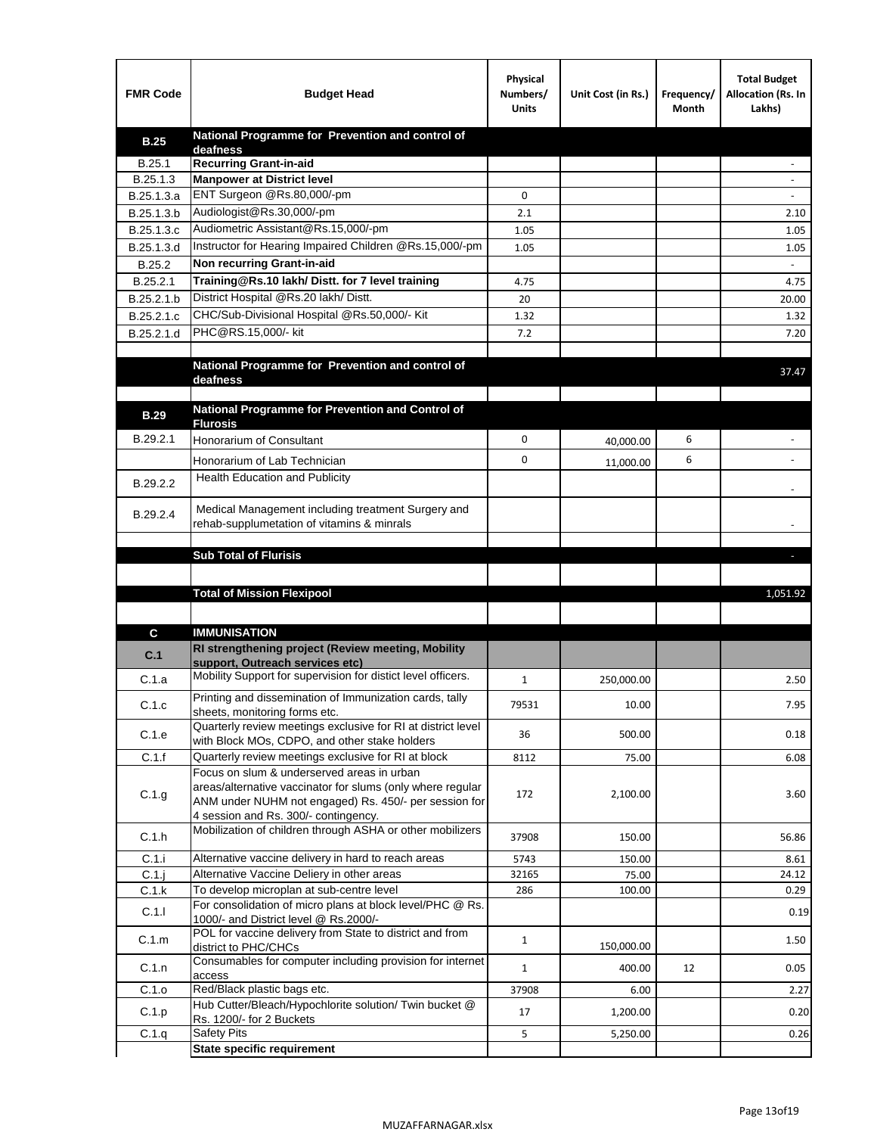| <b>FMR Code</b> | <b>Budget Head</b>                                                                                    | Physical<br>Numbers/<br><b>Units</b> | Unit Cost (in Rs.) | Frequency/<br>Month | <b>Total Budget</b><br>Allocation (Rs. In<br>Lakhs) |
|-----------------|-------------------------------------------------------------------------------------------------------|--------------------------------------|--------------------|---------------------|-----------------------------------------------------|
| <b>B.25</b>     | National Programme for Prevention and control of                                                      |                                      |                    |                     |                                                     |
| B.25.1          | deafness<br>Recurring Grant-in-aid                                                                    |                                      |                    |                     |                                                     |
| B.25.1.3        | <b>Manpower at District level</b>                                                                     |                                      |                    |                     |                                                     |
| B.25.1.3.a      | ENT Surgeon @Rs.80,000/-pm                                                                            | 0                                    |                    |                     |                                                     |
| B.25.1.3.b      | Audiologist@Rs.30,000/-pm                                                                             | 2.1                                  |                    |                     | 2.10                                                |
| B.25.1.3.c      | Audiometric Assistant@Rs.15,000/-pm                                                                   | 1.05                                 |                    |                     | 1.05                                                |
| B.25.1.3.d      | Instructor for Hearing Impaired Children @Rs.15,000/-pm                                               | 1.05                                 |                    |                     | 1.05                                                |
| B.25.2          | Non recurring Grant-in-aid                                                                            |                                      |                    |                     |                                                     |
| B.25.2.1        | Training@Rs.10 lakh/ Distt. for 7 level training                                                      | 4.75                                 |                    |                     | 4.75                                                |
| B.25.2.1.b      | District Hospital @Rs.20 lakh/Distt.                                                                  | 20                                   |                    |                     | 20.00                                               |
| B.25.2.1.c      | CHC/Sub-Divisional Hospital @Rs.50,000/- Kit                                                          | 1.32                                 |                    |                     | 1.32                                                |
| B.25.2.1.d      | PHC@RS.15,000/- kit                                                                                   | 7.2                                  |                    |                     | 7.20                                                |
|                 |                                                                                                       |                                      |                    |                     |                                                     |
|                 | National Programme for Prevention and control of<br>deafness                                          |                                      |                    |                     | 37.47                                               |
|                 |                                                                                                       |                                      |                    |                     |                                                     |
| <b>B.29</b>     | National Programme for Prevention and Control of                                                      |                                      |                    |                     |                                                     |
| B.29.2.1        | <b>Flurosis</b><br>Honorarium of Consultant                                                           | 0                                    | 40,000.00          | 6                   |                                                     |
|                 | Honorarium of Lab Technician                                                                          | 0                                    |                    | 6                   | $\ddot{\phantom{1}}$                                |
|                 | <b>Health Education and Publicity</b>                                                                 |                                      | 11,000.00          |                     |                                                     |
| B.29.2.2        |                                                                                                       |                                      |                    |                     |                                                     |
| B.29.2.4        | Medical Management including treatment Surgery and                                                    |                                      |                    |                     |                                                     |
|                 | rehab-supplumetation of vitamins & minrals                                                            |                                      |                    |                     |                                                     |
|                 | <b>Sub Total of Flurisis</b>                                                                          |                                      |                    |                     | ь                                                   |
|                 |                                                                                                       |                                      |                    |                     |                                                     |
|                 | <b>Total of Mission Flexipool</b>                                                                     |                                      |                    |                     | 1,051.92                                            |
|                 |                                                                                                       |                                      |                    |                     |                                                     |
| C               | <b>IMMUNISATION</b>                                                                                   |                                      |                    |                     |                                                     |
|                 | RI strengthening project (Review meeting, Mobility                                                    |                                      |                    |                     |                                                     |
| C.1             | support, Outreach services etc)                                                                       |                                      |                    |                     |                                                     |
| C.1.a           | Mobility Support for supervision for distict level officers.                                          | $\mathbf{1}$                         | 250,000.00         |                     | 2.50                                                |
| C.1.c           | Printing and dissemination of Immunization cards, tally                                               | 79531                                | 10.00              |                     | 7.95                                                |
|                 | sheets, monitoring forms etc.<br>Quarterly review meetings exclusive for RI at district level         |                                      |                    |                     |                                                     |
| C.1.e           | with Block MOs, CDPO, and other stake holders                                                         | 36                                   | 500.00             |                     | 0.18                                                |
| C.1.f           | Quarterly review meetings exclusive for RI at block                                                   | 8112                                 | 75.00              |                     | 6.08                                                |
|                 | Focus on slum & underserved areas in urban                                                            |                                      |                    |                     |                                                     |
| C.1.g           | areas/alternative vaccinator for slums (only where regular                                            | 172                                  | 2,100.00           |                     | 3.60                                                |
|                 | ANM under NUHM not engaged) Rs. 450/- per session for<br>4 session and Rs. 300/- contingency.         |                                      |                    |                     |                                                     |
|                 | Mobilization of children through ASHA or other mobilizers                                             |                                      |                    |                     |                                                     |
| C.1.h           |                                                                                                       | 37908                                | 150.00             |                     | 56.86                                               |
| C.1.i           | Alternative vaccine delivery in hard to reach areas                                                   | 5743                                 | 150.00             |                     | 8.61                                                |
| $C.1$ .j        | Alternative Vaccine Deliery in other areas                                                            | 32165                                | 75.00              |                     | 24.12                                               |
| C.1.k           | To develop microplan at sub-centre level<br>For consolidation of micro plans at block level/PHC @ Rs. | 286                                  | 100.00             |                     | 0.29                                                |
| C.1.1           | 1000/- and District level @ Rs.2000/-                                                                 |                                      |                    |                     | 0.19                                                |
| C.1.m           | POL for vaccine delivery from State to district and from                                              | $\mathbf{1}$                         | 150,000.00         |                     | 1.50                                                |
| C.1.n           | district to PHC/CHCs<br>Consumables for computer including provision for internet                     |                                      |                    |                     |                                                     |
|                 | access                                                                                                | $\mathbf{1}$                         | 400.00             | 12                  | 0.05                                                |
| C.1.o           | Red/Black plastic bags etc.<br>Hub Cutter/Bleach/Hypochlorite solution/ Twin bucket @                 | 37908                                | 6.00               |                     | 2.27                                                |
| C.1.p           | Rs. 1200/- for 2 Buckets                                                                              | 17                                   | 1,200.00           |                     | 0.20                                                |
| C.1.q           | <b>Safety Pits</b>                                                                                    | 5                                    | 5,250.00           |                     | 0.26                                                |
|                 | <b>State specific requirement</b>                                                                     |                                      |                    |                     |                                                     |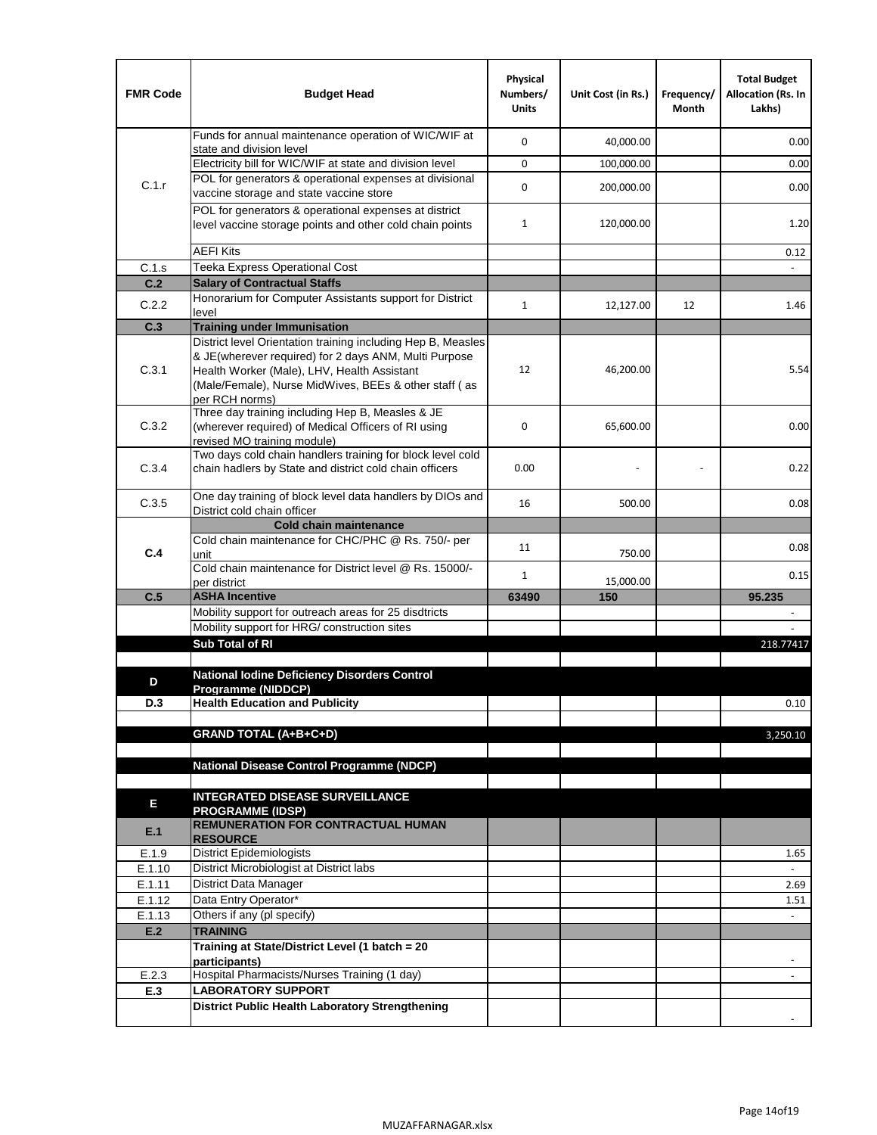| <b>FMR Code</b> | <b>Budget Head</b>                                                                                                                                                              | Physical<br>Numbers/<br><b>Units</b> | Unit Cost (in Rs.) | Frequency/<br>Month | <b>Total Budget</b><br>Allocation (Rs. In<br>Lakhs) |
|-----------------|---------------------------------------------------------------------------------------------------------------------------------------------------------------------------------|--------------------------------------|--------------------|---------------------|-----------------------------------------------------|
|                 | Funds for annual maintenance operation of WIC/WIF at<br>state and division level                                                                                                | 0                                    | 40,000.00          |                     | 0.00                                                |
|                 | Electricity bill for WIC/WIF at state and division level                                                                                                                        | 0                                    | 100,000.00         |                     | 0.00                                                |
| C.1.r           | POL for generators & operational expenses at divisional                                                                                                                         |                                      |                    |                     |                                                     |
|                 | vaccine storage and state vaccine store                                                                                                                                         | 0                                    | 200,000.00         |                     | 0.00                                                |
|                 | POL for generators & operational expenses at district<br>level vaccine storage points and other cold chain points                                                               | $\mathbf{1}$                         | 120,000.00         |                     | 1.20                                                |
|                 | <b>AEFI Kits</b>                                                                                                                                                                |                                      |                    |                     | 0.12                                                |
| C.1.s           | Teeka Express Operational Cost                                                                                                                                                  |                                      |                    |                     |                                                     |
| C.2             | <b>Salary of Contractual Staffs</b>                                                                                                                                             |                                      |                    |                     |                                                     |
| C.2.2           | Honorarium for Computer Assistants support for District                                                                                                                         | $\mathbf{1}$                         | 12,127.00          | 12                  | 1.46                                                |
| C.3             | level<br><b>Training under Immunisation</b>                                                                                                                                     |                                      |                    |                     |                                                     |
|                 | District level Orientation training including Hep B, Measles                                                                                                                    |                                      |                    |                     |                                                     |
| C.3.1           | & JE(wherever required) for 2 days ANM, Multi Purpose<br>Health Worker (Male), LHV, Health Assistant<br>(Male/Female), Nurse MidWives, BEEs & other staff (as<br>per RCH norms) | 12                                   | 46,200.00          |                     | 5.54                                                |
| C.3.2           | Three day training including Hep B, Measles & JE<br>(wherever required) of Medical Officers of RI using<br>revised MO training module)                                          | 0                                    | 65,600.00          |                     | 0.00                                                |
| C.3.4           | Two days cold chain handlers training for block level cold<br>chain hadlers by State and district cold chain officers                                                           | 0.00                                 |                    |                     | 0.22                                                |
| C.3.5           | One day training of block level data handlers by DIOs and<br>District cold chain officer                                                                                        | 16                                   | 500.00             |                     | 0.08                                                |
|                 | <b>Cold chain maintenance</b>                                                                                                                                                   |                                      |                    |                     |                                                     |
|                 | Cold chain maintenance for CHC/PHC @ Rs. 750/- per                                                                                                                              | 11                                   |                    |                     | 0.08                                                |
| C.4             | unit<br>Cold chain maintenance for District level @ Rs. 15000/-                                                                                                                 | 1                                    | 750.00             |                     | 0.15                                                |
|                 | per district                                                                                                                                                                    |                                      | 15,000.00          |                     |                                                     |
| C.5             | <b>ASHA Incentive</b><br>Mobility support for outreach areas for 25 disdtricts                                                                                                  | 63490                                | 150                |                     | 95.235                                              |
|                 | Mobility support for HRG/ construction sites                                                                                                                                    |                                      |                    |                     |                                                     |
|                 | Sub Total of RI                                                                                                                                                                 |                                      |                    |                     | 218.77417                                           |
|                 |                                                                                                                                                                                 |                                      |                    |                     |                                                     |
| D               | <b>National lodine Deficiency Disorders Control</b>                                                                                                                             |                                      |                    |                     |                                                     |
|                 | Programme (NIDDCP)                                                                                                                                                              |                                      |                    |                     |                                                     |
| D.3             | <b>Health Education and Publicity</b>                                                                                                                                           |                                      |                    |                     | 0.10                                                |
|                 | <b>GRAND TOTAL (A+B+C+D)</b>                                                                                                                                                    |                                      |                    |                     | 3,250.10                                            |
|                 |                                                                                                                                                                                 |                                      |                    |                     |                                                     |
|                 | National Disease Control Programme (NDCP)                                                                                                                                       |                                      |                    |                     |                                                     |
|                 |                                                                                                                                                                                 |                                      |                    |                     |                                                     |
| Е               | <b>INTEGRATED DISEASE SURVEILLANCE</b>                                                                                                                                          |                                      |                    |                     |                                                     |
| E.1             | <b>PROGRAMME (IDSP)</b><br><b>REMUNERATION FOR CONTRACTUAL HUMAN</b><br><b>RESOURCE</b>                                                                                         |                                      |                    |                     |                                                     |
| E.1.9           | District Epidemiologists                                                                                                                                                        |                                      |                    |                     | 1.65                                                |
| E.1.10          | District Microbiologist at District labs                                                                                                                                        |                                      |                    |                     |                                                     |
| E.1.11          | District Data Manager                                                                                                                                                           |                                      |                    |                     | 2.69                                                |
| E.1.12          | Data Entry Operator*                                                                                                                                                            |                                      |                    |                     | 1.51                                                |
| E.1.13          | Others if any (pl specify)                                                                                                                                                      |                                      |                    |                     | $\omega$                                            |
| E.2             | <b>TRAINING</b><br>Training at State/District Level (1 batch = 20                                                                                                               |                                      |                    |                     |                                                     |
|                 | participants)                                                                                                                                                                   |                                      |                    |                     |                                                     |
| E.2.3           | Hospital Pharmacists/Nurses Training (1 day)                                                                                                                                    |                                      |                    |                     |                                                     |
| E.3             | <b>LABORATORY SUPPORT</b>                                                                                                                                                       |                                      |                    |                     |                                                     |
|                 | <b>District Public Health Laboratory Strengthening</b>                                                                                                                          |                                      |                    |                     |                                                     |
|                 |                                                                                                                                                                                 |                                      |                    |                     |                                                     |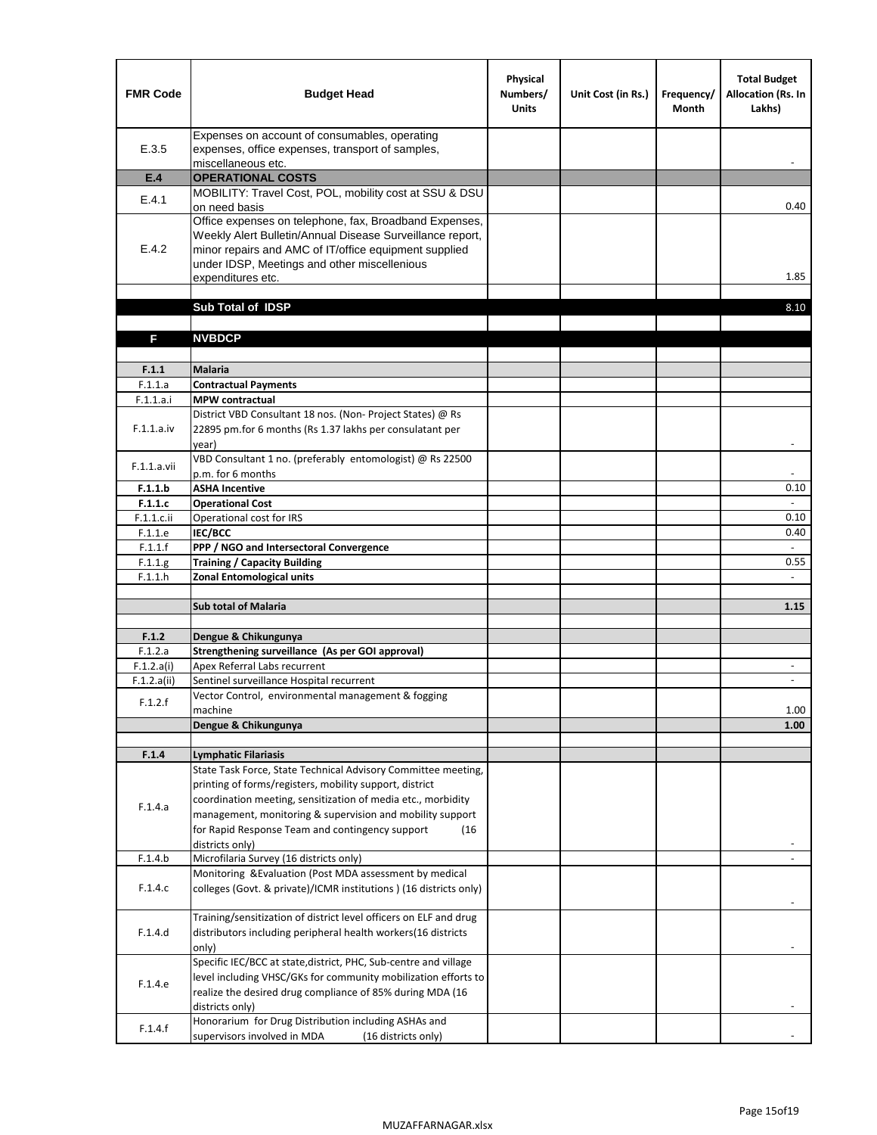| <b>FMR Code</b>       | <b>Budget Head</b>                                                                                                                                                                                                                                | Physical<br>Numbers/<br><b>Units</b> | Unit Cost (in Rs.) | Frequency/<br><b>Month</b> | <b>Total Budget</b><br>Allocation (Rs. In<br>Lakhs) |
|-----------------------|---------------------------------------------------------------------------------------------------------------------------------------------------------------------------------------------------------------------------------------------------|--------------------------------------|--------------------|----------------------------|-----------------------------------------------------|
| E.3.5                 | Expenses on account of consumables, operating<br>expenses, office expenses, transport of samples,<br>miscellaneous etc.                                                                                                                           |                                      |                    |                            |                                                     |
| E.4                   | <b>OPERATIONAL COSTS</b>                                                                                                                                                                                                                          |                                      |                    |                            |                                                     |
| E.4.1                 | MOBILITY: Travel Cost, POL, mobility cost at SSU & DSU                                                                                                                                                                                            |                                      |                    |                            |                                                     |
|                       | on need basis                                                                                                                                                                                                                                     |                                      |                    |                            | 0.40                                                |
| E.4.2                 | Office expenses on telephone, fax, Broadband Expenses,<br>Weekly Alert Bulletin/Annual Disease Surveillance report,<br>minor repairs and AMC of IT/office equipment supplied<br>under IDSP, Meetings and other miscellenious<br>expenditures etc. |                                      |                    |                            | 1.85                                                |
|                       | Sub Total of IDSP                                                                                                                                                                                                                                 |                                      |                    |                            | 8.10                                                |
|                       |                                                                                                                                                                                                                                                   |                                      |                    |                            |                                                     |
| F                     | <b>NVBDCP</b>                                                                                                                                                                                                                                     |                                      |                    |                            |                                                     |
|                       |                                                                                                                                                                                                                                                   |                                      |                    |                            |                                                     |
| F.1.1                 | <b>Malaria</b>                                                                                                                                                                                                                                    |                                      |                    |                            |                                                     |
| F.1.1.a               | <b>Contractual Payments</b>                                                                                                                                                                                                                       |                                      |                    |                            |                                                     |
| F.1.1.a.i             | <b>MPW</b> contractual<br>District VBD Consultant 18 nos. (Non-Project States) @ Rs                                                                                                                                                               |                                      |                    |                            |                                                     |
| F.1.1.a.iv            | 22895 pm.for 6 months (Rs 1.37 lakhs per consulatant per<br>year)                                                                                                                                                                                 |                                      |                    |                            | $\overline{\phantom{a}}$                            |
|                       | VBD Consultant 1 no. (preferably entomologist) @ Rs 22500                                                                                                                                                                                         |                                      |                    |                            |                                                     |
| F.1.1.a.vii           | p.m. for 6 months                                                                                                                                                                                                                                 |                                      |                    |                            |                                                     |
| F.1.1.b               | <b>ASHA Incentive</b>                                                                                                                                                                                                                             |                                      |                    |                            | 0.10                                                |
| F.1.1.c               | <b>Operational Cost</b>                                                                                                                                                                                                                           |                                      |                    |                            |                                                     |
| F.1.1.c.ii            | Operational cost for IRS                                                                                                                                                                                                                          |                                      |                    |                            | 0.10                                                |
| F.1.1.e<br>F.1.1.f    | <b>IEC/BCC</b><br>PPP / NGO and Intersectoral Convergence                                                                                                                                                                                         |                                      |                    |                            | 0.40<br>$\omega$                                    |
| F.1.1.g               | <b>Training / Capacity Building</b>                                                                                                                                                                                                               |                                      |                    |                            | 0.55                                                |
| F.1.1.h               | <b>Zonal Entomological units</b>                                                                                                                                                                                                                  |                                      |                    |                            |                                                     |
|                       |                                                                                                                                                                                                                                                   |                                      |                    |                            |                                                     |
|                       | <b>Sub total of Malaria</b>                                                                                                                                                                                                                       |                                      |                    |                            | 1.15                                                |
|                       |                                                                                                                                                                                                                                                   |                                      |                    |                            |                                                     |
| F.1.2                 | Dengue & Chikungunya                                                                                                                                                                                                                              |                                      |                    |                            |                                                     |
| F.1.2.a<br>F.1.2.a(i) | Strengthening surveillance (As per GOI approval)<br>Apex Referral Labs recurrent                                                                                                                                                                  |                                      |                    |                            |                                                     |
| F.1.2.a(ii)           | Sentinel surveillance Hospital recurrent                                                                                                                                                                                                          |                                      |                    |                            | $\sim$                                              |
|                       | Vector Control, environmental management & fogging                                                                                                                                                                                                |                                      |                    |                            |                                                     |
| F.1.2.f               | machine                                                                                                                                                                                                                                           |                                      |                    |                            | 1.00                                                |
|                       | Dengue & Chikungunya                                                                                                                                                                                                                              |                                      |                    |                            | 1.00                                                |
|                       |                                                                                                                                                                                                                                                   |                                      |                    |                            |                                                     |
| F.1.4                 | <b>Lymphatic Filariasis</b>                                                                                                                                                                                                                       |                                      |                    |                            |                                                     |
|                       | State Task Force, State Technical Advisory Committee meeting,<br>printing of forms/registers, mobility support, district                                                                                                                          |                                      |                    |                            |                                                     |
|                       | coordination meeting, sensitization of media etc., morbidity                                                                                                                                                                                      |                                      |                    |                            |                                                     |
| F.1.4.a               | management, monitoring & supervision and mobility support                                                                                                                                                                                         |                                      |                    |                            |                                                     |
|                       | for Rapid Response Team and contingency support<br>(16)                                                                                                                                                                                           |                                      |                    |                            |                                                     |
|                       | districts only)                                                                                                                                                                                                                                   |                                      |                    |                            |                                                     |
| F.1.4.b               | Microfilaria Survey (16 districts only)                                                                                                                                                                                                           |                                      |                    |                            |                                                     |
| F.1.4.c               | Monitoring & Evaluation (Post MDA assessment by medical<br>colleges (Govt. & private)/ICMR institutions ) (16 districts only)                                                                                                                     |                                      |                    |                            |                                                     |
| F.1.4.d               | Training/sensitization of district level officers on ELF and drug                                                                                                                                                                                 |                                      |                    |                            |                                                     |
|                       | distributors including peripheral health workers(16 districts                                                                                                                                                                                     |                                      |                    |                            |                                                     |
|                       | only)                                                                                                                                                                                                                                             |                                      |                    |                            |                                                     |
|                       | Specific IEC/BCC at state, district, PHC, Sub-centre and village                                                                                                                                                                                  |                                      |                    |                            |                                                     |
| F.1.4.e               | level including VHSC/GKs for community mobilization efforts to                                                                                                                                                                                    |                                      |                    |                            |                                                     |
|                       | realize the desired drug compliance of 85% during MDA (16                                                                                                                                                                                         |                                      |                    |                            |                                                     |
|                       | districts only)<br>Honorarium for Drug Distribution including ASHAs and                                                                                                                                                                           |                                      |                    |                            |                                                     |
| F.1.4.f               | supervisors involved in MDA<br>(16 districts only)                                                                                                                                                                                                |                                      |                    |                            |                                                     |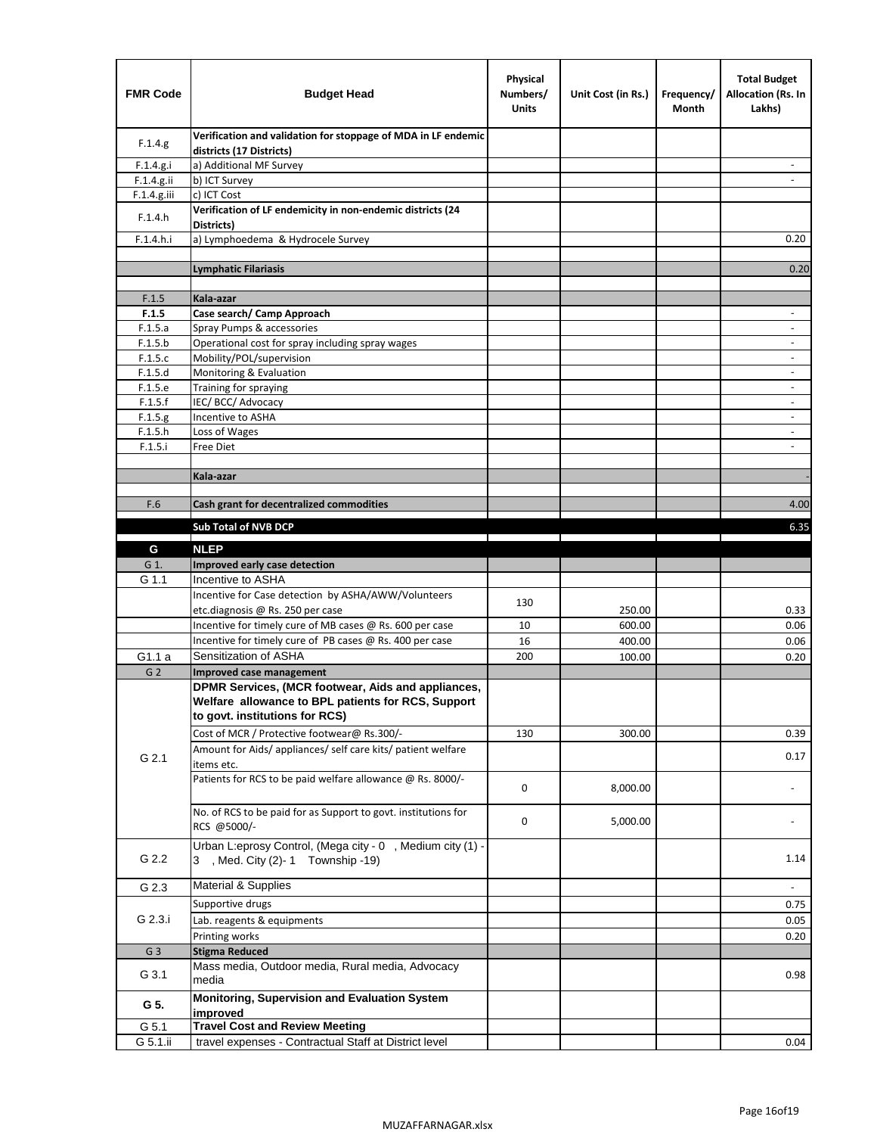| <b>FMR Code</b> | <b>Budget Head</b>                                                                                                                         | Physical<br>Numbers/<br><b>Units</b> | Unit Cost (in Rs.) | Frequency/<br>Month | <b>Total Budget</b><br><b>Allocation (Rs. In</b><br>Lakhs) |
|-----------------|--------------------------------------------------------------------------------------------------------------------------------------------|--------------------------------------|--------------------|---------------------|------------------------------------------------------------|
| F.1.4.g.        | Verification and validation for stoppage of MDA in LF endemic<br>districts (17 Districts)                                                  |                                      |                    |                     |                                                            |
| F.1.4.g.i       | a) Additional MF Survey                                                                                                                    |                                      |                    |                     |                                                            |
| F.1.4.g.ii      | b) ICT Survey                                                                                                                              |                                      |                    |                     |                                                            |
| F.1.4.g.iii     | c) ICT Cost                                                                                                                                |                                      |                    |                     |                                                            |
| F.1.4.h         | Verification of LF endemicity in non-endemic districts (24<br>Districts)                                                                   |                                      |                    |                     |                                                            |
| F.1.4.h.i       | a) Lymphoedema & Hydrocele Survey                                                                                                          |                                      |                    |                     | 0.20                                                       |
|                 | Lymphatic Filariasis                                                                                                                       |                                      |                    |                     | 0.20                                                       |
|                 |                                                                                                                                            |                                      |                    |                     |                                                            |
| F.1.5           | Kala-azar                                                                                                                                  |                                      |                    |                     |                                                            |
| F.1.5           | Case search/ Camp Approach                                                                                                                 |                                      |                    |                     | $\overline{\phantom{a}}$                                   |
| F.1.5.a         | Spray Pumps & accessories                                                                                                                  |                                      |                    |                     | $\blacksquare$                                             |
| F.1.5.b         | Operational cost for spray including spray wages                                                                                           |                                      |                    |                     |                                                            |
| F.1.5.c         | Mobility/POL/supervision                                                                                                                   |                                      |                    |                     | $\overline{\phantom{a}}$                                   |
| F.1.5.d         | Monitoring & Evaluation                                                                                                                    |                                      |                    |                     |                                                            |
| F.1.5.e         | Training for spraying                                                                                                                      |                                      |                    |                     | $\blacksquare$                                             |
| F.1.5.f         | IEC/BCC/Advocacy                                                                                                                           |                                      |                    |                     | $\overline{a}$                                             |
| F.1.5.g         | Incentive to ASHA                                                                                                                          |                                      |                    |                     | $\overline{\phantom{a}}$                                   |
| F.1.5.h         | Loss of Wages                                                                                                                              |                                      |                    |                     | $\overline{\phantom{m}}$                                   |
| F.1.5.i         | Free Diet                                                                                                                                  |                                      |                    |                     |                                                            |
|                 | Kala-azar                                                                                                                                  |                                      |                    |                     |                                                            |
|                 |                                                                                                                                            |                                      |                    |                     |                                                            |
| F.6             | Cash grant for decentralized commodities                                                                                                   |                                      |                    |                     | 4.00                                                       |
|                 |                                                                                                                                            |                                      |                    |                     |                                                            |
|                 | <b>Sub Total of NVB DCP</b>                                                                                                                |                                      |                    |                     | 6.35                                                       |
| G               | <b>NLEP</b>                                                                                                                                |                                      |                    |                     |                                                            |
| G 1.            | Improved early case detection                                                                                                              |                                      |                    |                     |                                                            |
| G 1.1           | Incentive to ASHA                                                                                                                          |                                      |                    |                     |                                                            |
|                 | Incentive for Case detection by ASHA/AWW/Volunteers                                                                                        | 130                                  |                    |                     |                                                            |
|                 | etc.diagnosis @ Rs. 250 per case                                                                                                           |                                      | 250.00             |                     | 0.33                                                       |
|                 | Incentive for timely cure of MB cases @ Rs. 600 per case                                                                                   | 10                                   | 600.00             |                     | 0.06                                                       |
|                 | Incentive for timely cure of PB cases @ Rs. 400 per case                                                                                   | 16                                   | 400.00             |                     | 0.06                                                       |
| G1.1 a          | Sensitization of ASHA                                                                                                                      | 200                                  | 100.00             |                     | 0.20                                                       |
| G <sub>2</sub>  | <b>Improved case management</b>                                                                                                            |                                      |                    |                     |                                                            |
|                 | DPMR Services, (MCR footwear, Aids and appliances,<br>Welfare allowance to BPL patients for RCS, Support<br>to govt. institutions for RCS) |                                      |                    |                     |                                                            |
|                 | Cost of MCR / Protective footwear@ Rs.300/-                                                                                                | 130                                  | 300.00             |                     | 0.39                                                       |
| G 2.1           | Amount for Aids/ appliances/ self care kits/ patient welfare<br>items etc.                                                                 |                                      |                    |                     | 0.17                                                       |
|                 | Patients for RCS to be paid welfare allowance @ Rs. 8000/-                                                                                 | 0                                    | 8,000.00           |                     |                                                            |
|                 | No. of RCS to be paid for as Support to govt. institutions for<br>RCS @5000/-                                                              | 0                                    | 5,000.00           |                     |                                                            |
| G 2.2           | Urban L:eprosy Control, (Mega city - 0, Medium city (1) -<br>3 , Med. City (2)-1 Township -19)                                             |                                      |                    |                     | 1.14                                                       |
| G 2.3           | Material & Supplies                                                                                                                        |                                      |                    |                     | $\sim$                                                     |
|                 | Supportive drugs                                                                                                                           |                                      |                    |                     | 0.75                                                       |
| G 2.3.i         | Lab. reagents & equipments                                                                                                                 |                                      |                    |                     | 0.05                                                       |
|                 | Printing works                                                                                                                             |                                      |                    |                     | 0.20                                                       |
| G <sub>3</sub>  | <b>Stigma Reduced</b>                                                                                                                      |                                      |                    |                     |                                                            |
|                 | Mass media, Outdoor media, Rural media, Advocacy                                                                                           |                                      |                    |                     |                                                            |
| G 3.1           | media<br>Monitoring, Supervision and Evaluation System                                                                                     |                                      |                    |                     | 0.98                                                       |
| G 5.            | improved                                                                                                                                   |                                      |                    |                     |                                                            |
| G 5.1           | <b>Travel Cost and Review Meeting</b>                                                                                                      |                                      |                    |                     |                                                            |
| G 5.1.ii        | travel expenses - Contractual Staff at District level                                                                                      |                                      |                    |                     | 0.04                                                       |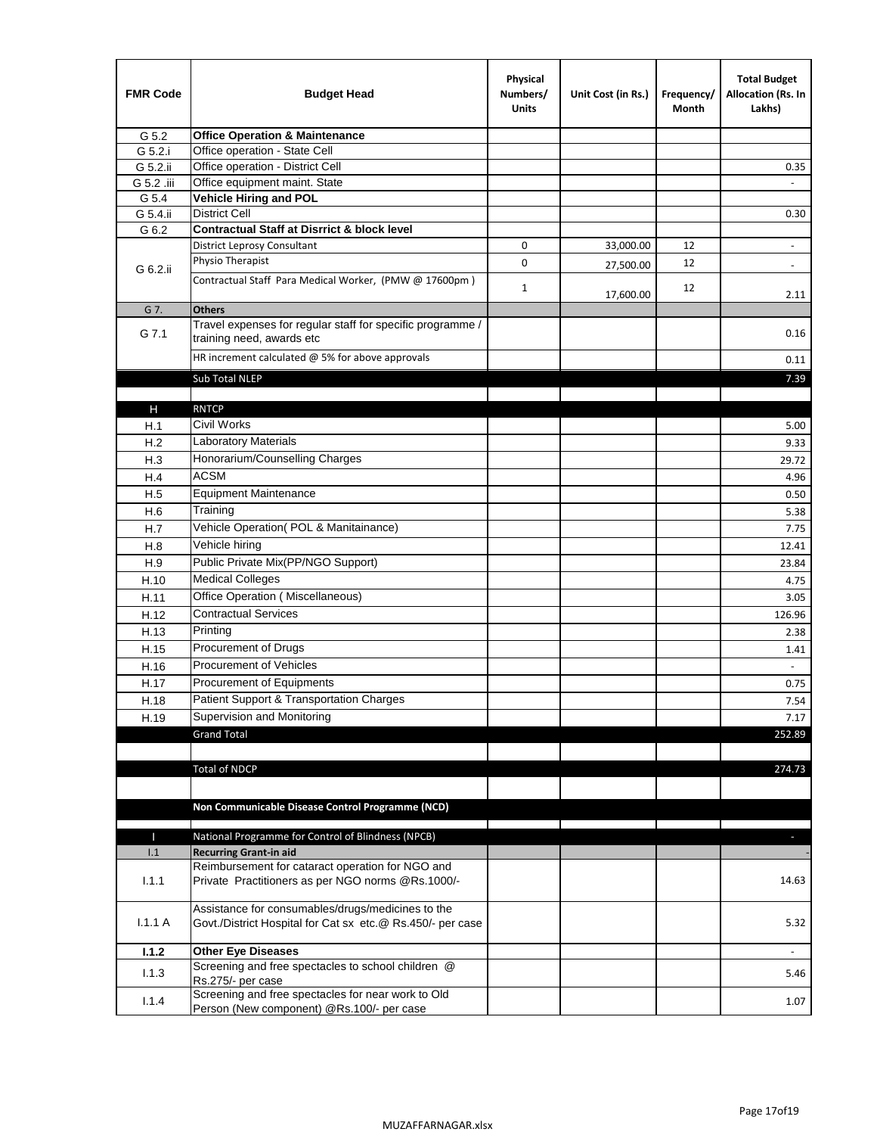| <b>FMR Code</b> | <b>Budget Head</b>                                                                                              | Physical<br>Numbers/<br><b>Units</b> | Unit Cost (in Rs.) | Frequency/<br>Month | <b>Total Budget</b><br>Allocation (Rs. In<br>Lakhs) |
|-----------------|-----------------------------------------------------------------------------------------------------------------|--------------------------------------|--------------------|---------------------|-----------------------------------------------------|
| G 5.2           | <b>Office Operation &amp; Maintenance</b>                                                                       |                                      |                    |                     |                                                     |
| G 5.2.i         | Office operation - State Cell                                                                                   |                                      |                    |                     |                                                     |
| G 5.2.ii        | Office operation - District Cell                                                                                |                                      |                    |                     | 0.35                                                |
| G 5.2 .iii      | Office equipment maint. State                                                                                   |                                      |                    |                     |                                                     |
| G 5.4           | <b>Vehicle Hiring and POL</b>                                                                                   |                                      |                    |                     |                                                     |
| G 5.4.ii        | <b>District Cell</b>                                                                                            |                                      |                    |                     | 0.30                                                |
| G 6.2           | <b>Contractual Staff at Disrrict &amp; block level</b>                                                          |                                      |                    |                     |                                                     |
|                 | <b>District Leprosy Consultant</b>                                                                              | 0                                    | 33,000.00          | 12                  |                                                     |
| G 6.2.ii        | Physio Therapist                                                                                                | 0                                    | 27,500.00          | 12                  | $\overline{\phantom{a}}$                            |
|                 | Contractual Staff Para Medical Worker, (PMW @ 17600pm)                                                          | $\mathbf{1}$                         | 17,600.00          | 12                  | 2.11                                                |
| G 7.            | <b>Others</b>                                                                                                   |                                      |                    |                     |                                                     |
| G 7.1           | Travel expenses for regular staff for specific programme /<br>training need, awards etc                         |                                      |                    |                     | 0.16                                                |
|                 | HR increment calculated $@$ 5% for above approvals                                                              |                                      |                    |                     | 0.11                                                |
|                 | Sub Total NLEP                                                                                                  |                                      |                    |                     | 7.39                                                |
|                 |                                                                                                                 |                                      |                    |                     |                                                     |
| Н               | <b>RNTCP</b>                                                                                                    |                                      |                    |                     |                                                     |
| H.1             | Civil Works                                                                                                     |                                      |                    |                     | 5.00                                                |
| H.2             | Laboratory Materials                                                                                            |                                      |                    |                     | 9.33                                                |
| H.3             | Honorarium/Counselling Charges                                                                                  |                                      |                    |                     | 29.72                                               |
| H.4             | <b>ACSM</b>                                                                                                     |                                      |                    |                     | 4.96                                                |
| H.5             | <b>Equipment Maintenance</b>                                                                                    |                                      |                    |                     | 0.50                                                |
| H.6             | Training                                                                                                        |                                      |                    |                     | 5.38                                                |
| H.7             | Vehicle Operation(POL & Manitainance)                                                                           |                                      |                    |                     | 7.75                                                |
| H.8             | Vehicle hiring                                                                                                  |                                      |                    |                     | 12.41                                               |
| H.9             | Public Private Mix(PP/NGO Support)                                                                              |                                      |                    |                     | 23.84                                               |
| H.10            | <b>Medical Colleges</b>                                                                                         |                                      |                    |                     | 4.75                                                |
| H.11            | Office Operation (Miscellaneous)                                                                                |                                      |                    |                     | 3.05                                                |
| H.12            | <b>Contractual Services</b>                                                                                     |                                      |                    |                     | 126.96                                              |
| H.13            | Printing                                                                                                        |                                      |                    |                     | 2.38                                                |
| H.15            | Procurement of Drugs                                                                                            |                                      |                    |                     | 1.41                                                |
| H.16            | Procurement of Vehicles                                                                                         |                                      |                    |                     | $\sim$                                              |
| H.17            | Procurement of Equipments                                                                                       |                                      |                    |                     | 0.75                                                |
| H.18            | Patient Support & Transportation Charges                                                                        |                                      |                    |                     | 7.54                                                |
| H.19            | Supervision and Monitoring                                                                                      |                                      |                    |                     | 7.17                                                |
|                 | <b>Grand Total</b>                                                                                              |                                      |                    |                     | 252.89                                              |
|                 |                                                                                                                 |                                      |                    |                     |                                                     |
|                 | <b>Total of NDCP</b>                                                                                            |                                      |                    |                     | 274.73                                              |
|                 | Non Communicable Disease Control Programme (NCD)                                                                |                                      |                    |                     |                                                     |
| Т               | National Programme for Control of Blindness (NPCB)                                                              |                                      |                    |                     | ÷.                                                  |
| 1.1             | <b>Recurring Grant-in aid</b>                                                                                   |                                      |                    |                     |                                                     |
|                 | Reimbursement for cataract operation for NGO and                                                                |                                      |                    |                     |                                                     |
| 1.1.1           | Private Practitioners as per NGO norms @Rs.1000/-                                                               |                                      |                    |                     | 14.63                                               |
| 1.1.1A          | Assistance for consumables/drugs/medicines to the<br>Govt./District Hospital for Cat sx etc.@ Rs.450/- per case |                                      |                    |                     | 5.32                                                |
| 1.1.2           | <b>Other Eye Diseases</b>                                                                                       |                                      |                    |                     |                                                     |
| 1.1.3           | Screening and free spectacles to school children @<br>Rs.275/- per case                                         |                                      |                    |                     | 5.46                                                |
| 1.1.4           | Screening and free spectacles for near work to Old<br>Person (New component) @Rs.100/- per case                 |                                      |                    |                     | 1.07                                                |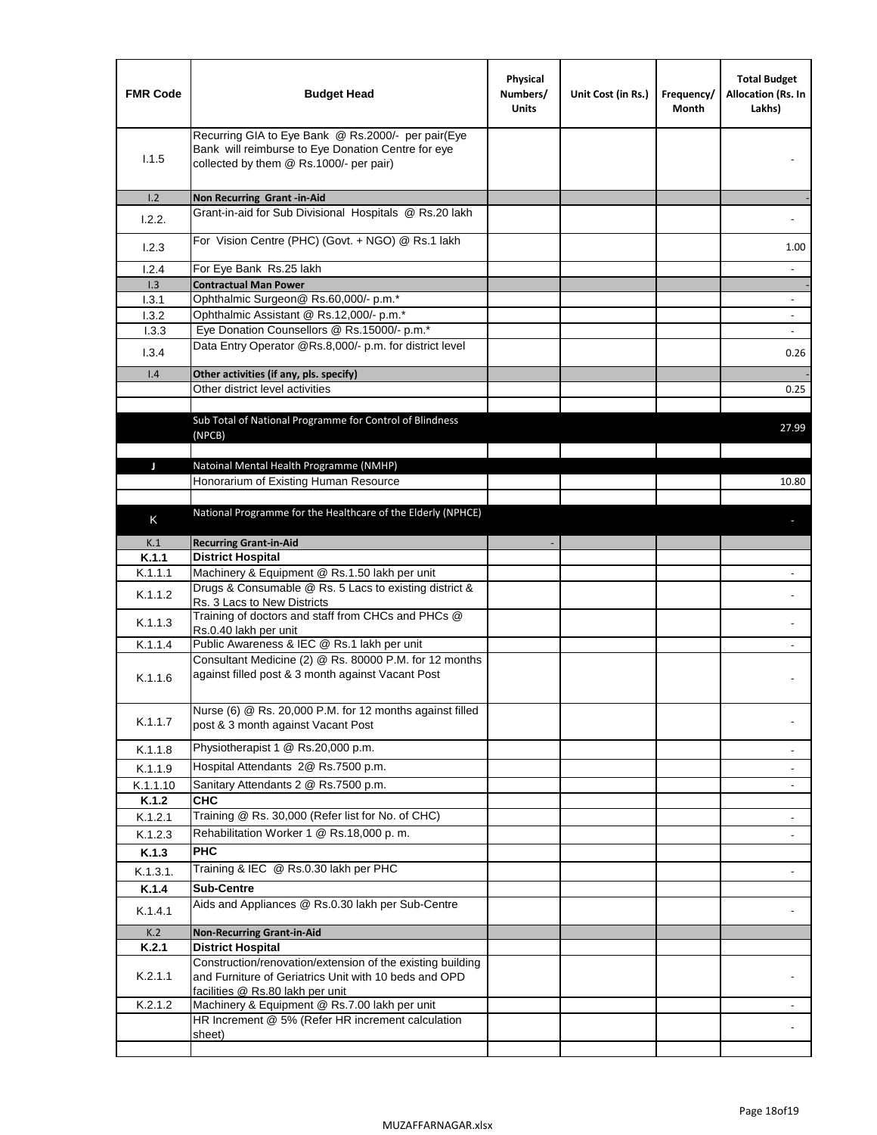| <b>FMR Code</b> | <b>Budget Head</b>                                                                                                                                  | Physical<br>Numbers/<br><b>Units</b> | Unit Cost (in Rs.) | Frequency/<br>Month | <b>Total Budget</b><br>Allocation (Rs. In<br>Lakhs) |
|-----------------|-----------------------------------------------------------------------------------------------------------------------------------------------------|--------------------------------------|--------------------|---------------------|-----------------------------------------------------|
| 1.1.5           | Recurring GIA to Eye Bank @ Rs.2000/- per pair(Eye<br>Bank will reimburse to Eye Donation Centre for eye<br>collected by them @ Rs.1000/- per pair) |                                      |                    |                     |                                                     |
| 1.2             | Non Recurring Grant -in-Aid                                                                                                                         |                                      |                    |                     |                                                     |
| 1.2.2.          | Grant-in-aid for Sub Divisional Hospitals @ Rs.20 lakh                                                                                              |                                      |                    |                     |                                                     |
| 1.2.3           | For Vision Centre (PHC) (Govt. + NGO) @ Rs.1 lakh                                                                                                   |                                      |                    |                     | 1.00                                                |
| 1.2.4           | For Eye Bank Rs.25 lakh                                                                                                                             |                                      |                    |                     | $\overline{\phantom{a}}$                            |
| 1.3<br>1.3.1    | <b>Contractual Man Power</b><br>Ophthalmic Surgeon@ Rs.60,000/- p.m.*                                                                               |                                      |                    |                     |                                                     |
| 1.3.2           | Ophthalmic Assistant @ Rs.12,000/- p.m.*                                                                                                            |                                      |                    |                     |                                                     |
| 1.3.3           | Eye Donation Counsellors @ Rs.15000/- p.m.*                                                                                                         |                                      |                    |                     | $\blacksquare$                                      |
| 1.3.4           | Data Entry Operator @Rs.8,000/- p.m. for district level                                                                                             |                                      |                    |                     | 0.26                                                |
| 1.4             | Other activities (if any, pls. specify)                                                                                                             |                                      |                    |                     |                                                     |
|                 | Other district level activities                                                                                                                     |                                      |                    |                     | 0.25                                                |
|                 | Sub Total of National Programme for Control of Blindness<br>(NPCB)                                                                                  |                                      |                    |                     | 27.99                                               |
| J               | Natoinal Mental Health Programme (NMHP)                                                                                                             |                                      |                    |                     |                                                     |
|                 | Honorarium of Existing Human Resource                                                                                                               |                                      |                    |                     | 10.80                                               |
|                 |                                                                                                                                                     |                                      |                    |                     |                                                     |
| K               | National Programme for the Healthcare of the Elderly (NPHCE)                                                                                        |                                      |                    |                     |                                                     |
| K.1             | <b>Recurring Grant-in-Aid</b>                                                                                                                       |                                      |                    |                     |                                                     |
| K.1.1           | <b>District Hospital</b>                                                                                                                            |                                      |                    |                     |                                                     |
| K.1.1.1         | Machinery & Equipment @ Rs.1.50 lakh per unit                                                                                                       |                                      |                    |                     |                                                     |
| K.1.1.2         | Drugs & Consumable @ Rs. 5 Lacs to existing district &<br>Rs. 3 Lacs to New Districts                                                               |                                      |                    |                     |                                                     |
| K.1.1.3         | Training of doctors and staff from CHCs and PHCs @<br>Rs.0.40 lakh per unit                                                                         |                                      |                    |                     |                                                     |
| K.1.1.4         | Public Awareness & IEC @ Rs.1 lakh per unit                                                                                                         |                                      |                    |                     |                                                     |
| K.1.1.6         | Consultant Medicine (2) @ Rs. 80000 P.M. for 12 months<br>against filled post & 3 month against Vacant Post                                         |                                      |                    |                     |                                                     |
| K.1.1.7         | Nurse (6) @ Rs. 20,000 P.M. for 12 months against filled<br>post & 3 month against Vacant Post                                                      |                                      |                    |                     |                                                     |
| K.1.1.8         | Physiotherapist 1 @ Rs.20,000 p.m.                                                                                                                  |                                      |                    |                     |                                                     |
| K.1.1.9         | Hospital Attendants 2@ Rs.7500 p.m.                                                                                                                 |                                      |                    |                     |                                                     |
| K.1.1.10        | Sanitary Attendants 2 @ Rs.7500 p.m.                                                                                                                |                                      |                    |                     | $\overline{\phantom{a}}$                            |
| K.1.2           | <b>CHC</b>                                                                                                                                          |                                      |                    |                     |                                                     |
| K.1.2.1         | Training @ Rs. 30,000 (Refer list for No. of CHC)                                                                                                   |                                      |                    |                     |                                                     |
| K.1.2.3         | Rehabilitation Worker 1 @ Rs.18,000 p.m.                                                                                                            |                                      |                    |                     |                                                     |
| K.1.3           | <b>PHC</b>                                                                                                                                          |                                      |                    |                     |                                                     |
| K.1.3.1.        | Training & IEC @ Rs.0.30 lakh per PHC                                                                                                               |                                      |                    |                     |                                                     |
| K.1.4           | <b>Sub-Centre</b>                                                                                                                                   |                                      |                    |                     |                                                     |
| K.1.4.1         | Aids and Appliances @ Rs.0.30 lakh per Sub-Centre                                                                                                   |                                      |                    |                     |                                                     |
| K.2             | <b>Non-Recurring Grant-in-Aid</b>                                                                                                                   |                                      |                    |                     |                                                     |
| K.2.1           | <b>District Hospital</b><br>Construction/renovation/extension of the existing building                                                              |                                      |                    |                     |                                                     |
| K.2.1.1         | and Furniture of Geriatrics Unit with 10 beds and OPD<br>facilities @ Rs.80 lakh per unit                                                           |                                      |                    |                     |                                                     |
| K.2.1.2         | Machinery & Equipment @ Rs.7.00 lakh per unit                                                                                                       |                                      |                    |                     |                                                     |
|                 | HR Increment @ 5% (Refer HR increment calculation<br>sheet)                                                                                         |                                      |                    |                     |                                                     |
|                 |                                                                                                                                                     |                                      |                    |                     |                                                     |